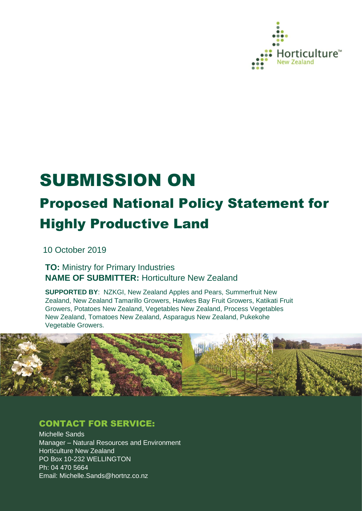

# SUBMISSION ON

# Proposed National Policy Statement for Highly Productive Land

10 October 2019

**TO:** Ministry for Primary Industries **NAME OF SUBMITTER:** Horticulture New Zealand

**SUPPORTED BY**: NZKGI, New Zealand Apples and Pears, Summerfruit New Zealand, New Zealand Tamarillo Growers, Hawkes Bay Fruit Growers, Katikati Fruit Growers, Potatoes New Zealand, Vegetables New Zealand, Process Vegetables New Zealand, Tomatoes New Zealand, Asparagus New Zealand, Pukekohe Vegetable Growers.



### CONTACT FOR SERVICE:

Michelle Sands Manager – Natural Resources and Environment Horticulture New Zealand PO Box 10-232 WELLINGTON Ph: 04 470 5664 Email: Michelle.Sands@hortnz.co.nz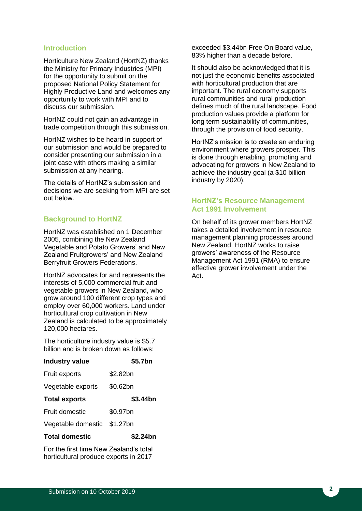#### **Introduction**

Horticulture New Zealand (HortNZ) thanks the Ministry for Primary Industries (MPI) for the opportunity to submit on the proposed National Policy Statement for Highly Productive Land and welcomes any opportunity to work with MPI and to discuss our submission.

HortNZ could not gain an advantage in trade competition through this submission.

HortNZ wishes to be heard in support of our submission and would be prepared to consider presenting our submission in a joint case with others making a similar submission at any hearing.

The details of HortNZ's submission and decisions we are seeking from MPI are set out below.

#### **Background to HortNZ**

HortNZ was established on 1 December 2005, combining the New Zealand Vegetable and Potato Growers' and New Zealand Fruitgrowers' and New Zealand Berryfruit Growers Federations.

HortNZ advocates for and represents the interests of 5,000 commercial fruit and vegetable growers in New Zealand, who grow around 100 different crop types and employ over 60,000 workers. Land under horticultural crop cultivation in New Zealand is calculated to be approximately 120,000 hectares.

The horticulture industry value is \$5.7 billion and is broken down as follows:

| <b>Industry value</b>       | \$5.7bn  |
|-----------------------------|----------|
| Fruit exports               | \$2.82bn |
| Vegetable exports           | \$0.62bn |
| <b>Total exports</b>        | \$3.44bn |
| Fruit domestic              | \$0.97bn |
| Vegetable domestic \$1.27bn |          |
| <b>Total domestic</b>       | \$2.24bn |

For the first time New Zealand's total horticultural produce exports in 2017

exceeded \$3.44bn Free On Board value, 83% higher than a decade before.

It should also be acknowledged that it is not just the economic benefits associated with horticultural production that are important. The rural economy supports rural communities and rural production defines much of the rural landscape. Food production values provide a platform for long term sustainability of communities, through the provision of food security.

HortNZ's mission is to create an enduring environment where growers prosper. This is done through enabling, promoting and advocating for growers in New Zealand to achieve the industry goal (a \$10 billion industry by 2020).

#### **HortNZ's Resource Management Act 1991 Involvement**

On behalf of its grower members HortNZ takes a detailed involvement in resource management planning processes around New Zealand. HortNZ works to raise growers' awareness of the Resource Management Act 1991 (RMA) to ensure effective grower involvement under the Act.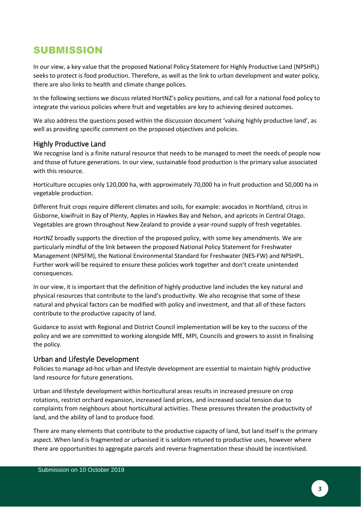## SUBMISSION

In our view, a key value that the proposed National Policy Statement for Highly Productive Land (NPSHPL) seeks to protect is food production. Therefore, as well as the link to urban development and water policy, there are also links to health and climate change polices.

In the following sections we discuss related HortNZ's policy positions, and call for a national food policy to integrate the various policies where fruit and vegetables are key to achieving desired outcomes.

We also address the questions posed within the discussion document 'valuing highly productive land', as well as providing specific comment on the proposed objectives and policies.

#### Highly Productive Land

We recognise land is a finite natural resource that needs to be managed to meet the needs of people now and those of future generations. In our view, sustainable food production is the primary value associated with this resource.

Horticulture occupies only 120,000 ha, with approximately 70,000 ha in fruit production and 50,000 ha in vegetable production.

Different fruit crops require different climates and soils, for example: avocados in Northland, citrus in Gisborne, kiwifruit in Bay of Plenty, Apples in Hawkes Bay and Nelson, and apricots in Central Otago. Vegetables are grown throughout New Zealand to provide a year-round supply of fresh vegetables.

HortNZ broadly supports the direction of the proposed policy, with some key amendments. We are particularly mindful of the link between the proposed National Policy Statement for Freshwater Management (NPSFM), the National Environmental Standard for Freshwater (NES-FW) and NPSHPL. Further work will be required to ensure these policies work together and don't create unintended consequences.

In our view, it is important that the definition of highly productive land includes the key natural and physical resources that contribute to the land's productivity. We also recognise that some of these natural and physical factors can be modified with policy and investment, and that all of these factors contribute to the productive capacity of land.

Guidance to assist with Regional and District Council implementation will be key to the success of the policy and we are committed to working alongside MfE, MPI, Councils and growers to assist in finalising the policy.

#### Urban and Lifestyle Development

Policies to manage ad-hoc urban and lifestyle development are essential to maintain highly productive land resource for future generations.

Urban and lifestyle development within horticultural areas results in increased pressure on crop rotations, restrict orchard expansion, increased land prices, and increased social tension due to complaints from neighbours about horticultural activities. These pressures threaten the productivity of land, and the ability of land to produce food.

There are many elements that contribute to the productive capacity of land, but land itself is the primary aspect. When land is fragmented or urbanised it is seldom retuned to productive uses, however where there are opportunities to aggregate parcels and reverse fragmentation these should be incentivised.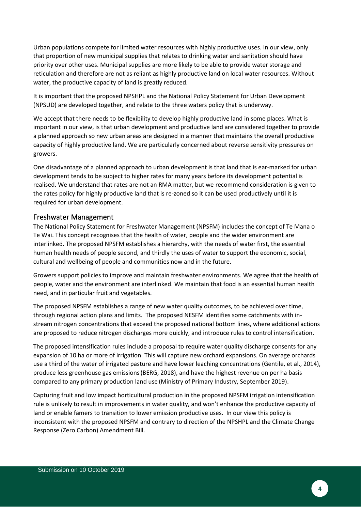Urban populations compete for limited water resources with highly productive uses. In our view, only that proportion of new municipal supplies that relates to drinking water and sanitation should have priority over other uses. Municipal supplies are more likely to be able to provide water storage and reticulation and therefore are not as reliant as highly productive land on local water resources. Without water, the productive capacity of land is greatly reduced.

It is important that the proposed NPSHPL and the National Policy Statement for Urban Development (NPSUD) are developed together, and relate to the three waters policy that is underway.

We accept that there needs to be flexibility to develop highly productive land in some places. What is important in our view, is that urban development and productive land are considered together to provide a planned approach so new urban areas are designed in a manner that maintains the overall productive capacity of highly productive land. We are particularly concerned about reverse sensitivity pressures on growers.

One disadvantage of a planned approach to urban development is that land that is ear-marked for urban development tends to be subject to higher rates for many years before its development potential is realised. We understand that rates are not an RMA matter, but we recommend consideration is given to the rates policy for highly productive land that is re-zoned so it can be used productively until it is required for urban development.

#### Freshwater Management

The National Policy Statement for Freshwater Management (NPSFM) includes the concept of Te Mana o Te Wai. This concept recognises that the health of water, people and the wider environment are interlinked. The proposed NPSFM establishes a hierarchy, with the needs of water first, the essential human health needs of people second, and thirdly the uses of water to support the economic, social, cultural and wellbeing of people and communities now and in the future.

Growers support policies to improve and maintain freshwater environments. We agree that the health of people, water and the environment are interlinked. We maintain that food is an essential human health need, and in particular fruit and vegetables.

The proposed NPSFM establishes a range of new water quality outcomes, to be achieved over time, through regional action plans and limits. The proposed NESFM identifies some catchments with instream nitrogen concentrations that exceed the proposed national bottom lines, where additional actions are proposed to reduce nitrogen discharges more quickly, and introduce rules to control intensification.

The proposed intensification rules include a proposal to require water quality discharge consents for any expansion of 10 ha or more of irrigation. This will capture new orchard expansions. On average orchards use a third of the water of irrigated pasture and have lower leaching concentrations (Gentile, et al., 2014), produce less greenhouse gas emissions(BERG, 2018), and have the highest revenue on per ha basis compared to any primary production land use (Ministry of Primary Industry, September 2019).

Capturing fruit and low impact horticultural production in the proposed NPSFM irrigation intensification rule is unlikely to result in improvements in water quality, and won't enhance the productive capacity of land or enable famers to transition to lower emission productive uses. In our view this policy is inconsistent with the proposed NPSFM and contrary to direction of the NPSHPL and the Climate Change Response (Zero Carbon) Amendment Bill.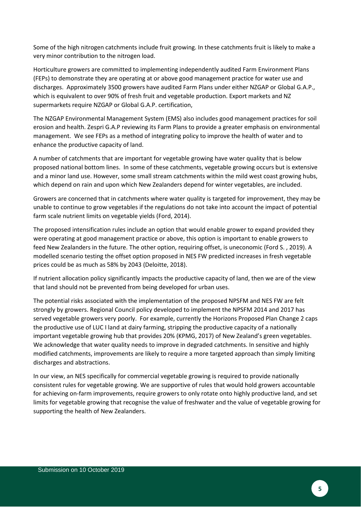Some of the high nitrogen catchments include fruit growing. In these catchments fruit is likely to make a very minor contribution to the nitrogen load.

Horticulture growers are committed to implementing independently audited Farm Environment Plans (FEPs) to demonstrate they are operating at or above good management practice for water use and discharges. Approximately 3500 growers have audited Farm Plans under either NZGAP or Global G.A.P., which is equivalent to over 90% of fresh fruit and vegetable production. Export markets and NZ supermarkets require NZGAP or Global G.A.P. certification,

The NZGAP Environmental Management System (EMS) also includes good management practices for soil erosion and health. Zespri G.A.P reviewing its Farm Plans to provide a greater emphasis on environmental management. We see FEPs as a method of integrating policy to improve the health of water and to enhance the productive capacity of land.

A number of catchments that are important for vegetable growing have water quality that is below proposed national bottom lines. In some of these catchments, vegetable growing occurs but is extensive and a minor land use. However, some small stream catchments within the mild west coast growing hubs, which depend on rain and upon which New Zealanders depend for winter vegetables, are included.

Growers are concerned that in catchments where water quality is targeted for improvement, they may be unable to continue to grow vegetables if the regulations do not take into account the impact of potential farm scale nutrient limits on vegetable yields (Ford, 2014).

The proposed intensification rules include an option that would enable grower to expand provided they were operating at good management practice or above, this option is important to enable growers to feed New Zealanders in the future. The other option, requiring offset, is uneconomic (Ford S. , 2019). A modelled scenario testing the offset option proposed in NES FW predicted increases in fresh vegetable prices could be as much as 58% by 2043 (Deloitte, 2018).

If nutrient allocation policy significantly impacts the productive capacity of land, then we are of the view that land should not be prevented from being developed for urban uses.

The potential risks associated with the implementation of the proposed NPSFM and NES FW are felt strongly by growers. Regional Council policy developed to implement the NPSFM 2014 and 2017 has served vegetable growers very poorly. For example, currently the Horizons Proposed Plan Change 2 caps the productive use of LUC I land at dairy farming, stripping the productive capacity of a nationally important vegetable growing hub that provides 20% (KPMG, 2017) of New Zealand's green vegetables. We acknowledge that water quality needs to improve in degraded catchments. In sensitive and highly modified catchments, improvements are likely to require a more targeted approach than simply limiting discharges and abstractions.

In our view, an NES specifically for commercial vegetable growing is required to provide nationally consistent rules for vegetable growing. We are supportive of rules that would hold growers accountable for achieving on-farm improvements, require growers to only rotate onto highly productive land, and set limits for vegetable growing that recognise the value of freshwater and the value of vegetable growing for supporting the health of New Zealanders.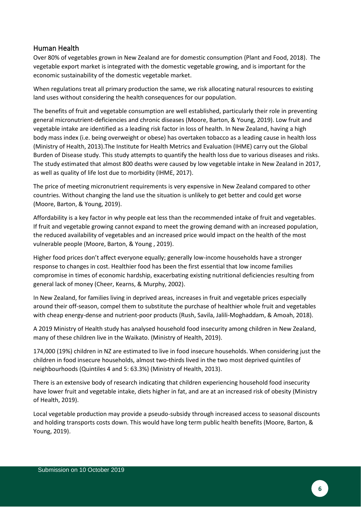#### Human Health

Over 80% of vegetables grown in New Zealand are for domestic consumption (Plant and Food, 2018). The vegetable export market is integrated with the domestic vegetable growing, and is important for the economic sustainability of the domestic vegetable market.

When regulations treat all primary production the same, we risk allocating natural resources to existing land uses without considering the health consequences for our population.

The benefits of fruit and vegetable consumption are well established, particularly their role in preventing general micronutrient-deficiencies and chronic diseases (Moore, Barton, & Young, 2019). Low fruit and vegetable intake are identified as a leading risk factor in loss of health. In New Zealand, having a high body mass index (i.e. being overweight or obese) has overtaken tobacco as a leading cause in health loss (Ministry of Health, 2013).The Institute for Health Metrics and Evaluation (IHME) carry out the Global Burden of Disease study. This study attempts to quantify the health loss due to various diseases and risks. The study estimated that almost 800 deaths were caused by low vegetable intake in New Zealand in 2017, as well as quality of life lost due to morbidity (IHME, 2017).

The price of meeting micronutrient requirements is very expensive in New Zealand compared to other countries. Without changing the land use the situation is unlikely to get better and could get worse (Moore, Barton, & Young, 2019).

Affordability is a key factor in why people eat less than the recommended intake of fruit and vegetables. If fruit and vegetable growing cannot expand to meet the growing demand with an increased population, the reduced availability of vegetables and an increased price would impact on the health of the most vulnerable people (Moore, Barton, & Young , 2019).

Higher food prices don't affect everyone equally; generally low-income households have a stronger response to changes in cost. Healthier food has been the first essential that low income families compromise in times of economic hardship, exacerbating existing nutritional deficiencies resulting from general lack of money (Cheer, Kearns, & Murphy, 2002).

In New Zealand, for families living in deprived areas, increases in fruit and vegetable prices especially around their off-season, compel them to substitute the purchase of healthier whole fruit and vegetables with cheap energy-dense and nutrient-poor products (Rush, Savila, Jalili-Moghaddam, & Amoah, 2018).

A 2019 Ministry of Health study has analysed household food insecurity among children in New Zealand, many of these children live in the Waikato. (Ministry of Health, 2019).

174,000 (19%) children in NZ are estimated to live in food insecure households. When considering just the children in food insecure households, almost two-thirds lived in the two most deprived quintiles of neighbourhoods (Quintiles 4 and 5: 63.3%) (Ministry of Health, 2013).

There is an extensive body of research indicating that children experiencing household food insecurity have lower fruit and vegetable intake, diets higher in fat, and are at an increased risk of obesity (Ministry of Health, 2019).

Local vegetable production may provide a pseudo-subsidy through increased access to seasonal discounts and holding transports costs down. This would have long term public health benefits (Moore, Barton, & Young, 2019).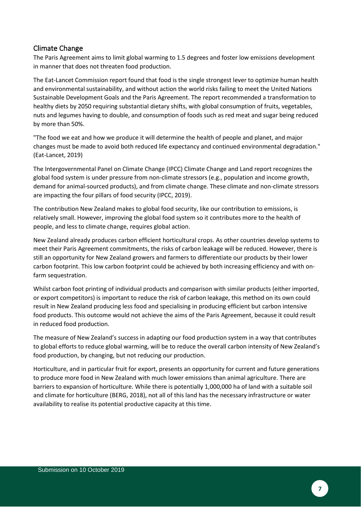#### Climate Change

The Paris Agreement aims to limit global warming to 1.5 degrees and foster low emissions development in manner that does not threaten food production.

The Eat-Lancet Commission report found that food is the single strongest lever to optimize human health and environmental sustainability, and without action the world risks failing to meet the United Nations Sustainable Development Goals and the Paris Agreement. The report recommended a transformation to healthy diets by 2050 requiring substantial dietary shifts, with global consumption of fruits, vegetables, nuts and legumes having to double, and consumption of foods such as red meat and sugar being reduced by more than 50%.

"The food we eat and how we produce it will determine the health of people and planet, and major changes must be made to avoid both reduced life expectancy and continued environmental degradation." (Eat-Lancet, 2019)

The Intergovernmental Panel on Climate Change (IPCC) Climate Change and Land report recognizes the global food system is under pressure from non-climate stressors (e.g., population and income growth, demand for animal-sourced products), and from climate change. These climate and non-climate stressors are impacting the four pillars of food security (IPCC, 2019).

The contribution New Zealand makes to global food security, like our contribution to emissions, is relatively small. However, improving the global food system so it contributes more to the health of people, and less to climate change, requires global action.

New Zealand already produces carbon efficient horticultural crops. As other countries develop systems to meet their Paris Agreement commitments, the risks of carbon leakage will be reduced. However, there is still an opportunity for New Zealand growers and farmers to differentiate our products by their lower carbon footprint. This low carbon footprint could be achieved by both increasing efficiency and with onfarm sequestration.

Whilst carbon foot printing of individual products and comparison with similar products (either imported, or export competitors) is important to reduce the risk of carbon leakage, this method on its own could result in New Zealand producing less food and specialising in producing efficient but carbon intensive food products. This outcome would not achieve the aims of the Paris Agreement, because it could result in reduced food production.

The measure of New Zealand's success in adapting our food production system in a way that contributes to global efforts to reduce global warming, will be to reduce the overall carbon intensity of New Zealand's food production, by changing, but not reducing our production.

Horticulture, and in particular fruit for export, presents an opportunity for current and future generations to produce more food in New Zealand with much lower emissions than animal agriculture. There are barriers to expansion of horticulture. While there is potentially 1,000,000 ha of land with a suitable soil and climate for horticulture (BERG, 2018), not all of this land has the necessary infrastructure or water availability to realise its potential productive capacity at this time.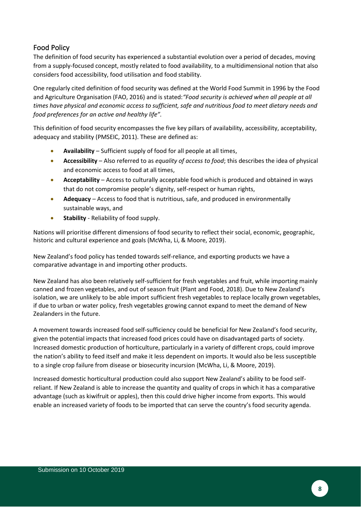#### Food Policy

The definition of food security has experienced a substantial evolution over a period of decades, moving from a supply-focused concept, mostly related to food availability, to a multidimensional notion that also considers food accessibility, food utilisation and food stability.

One regularly cited definition of food security was defined at the World Food Summit in 1996 by the Food and Agriculture Organisation (FAO, 2016) and is stated:*"Food security is achieved when all people at all times have physical and economic access to sufficient, safe and nutritious food to meet dietary needs and food preferences for an active and healthy life".*

This definition of food security encompasses the five key pillars of availability, accessibility, acceptability, adequacy and stability (PMSEIC, 2011). These are defined as:

- **Availability**  Sufficient supply of food for all people at all times,
- **Accessibility** Also referred to as *equality of access to food*; this describes the idea of physical and economic access to food at all times,
- **Acceptability**  Access to culturally acceptable food which is produced and obtained in ways that do not compromise people's dignity, self-respect or human rights,
- **Adequacy**  Access to food that is nutritious, safe, and produced in environmentally sustainable ways, and
- **Stability** Reliability of food supply.

Nations will prioritise different dimensions of food security to reflect their social, economic, geographic, historic and cultural experience and goals (McWha, Li, & Moore, 2019).

New Zealand's food policy has tended towards self-reliance, and exporting products we have a comparative advantage in and importing other products.

New Zealand has also been relatively self-sufficient for fresh vegetables and fruit, while importing mainly canned and frozen vegetables, and out of season fruit (Plant and Food, 2018). Due to New Zealand's isolation, we are unlikely to be able import sufficient fresh vegetables to replace locally grown vegetables, if due to urban or water policy, fresh vegetables growing cannot expand to meet the demand of New Zealanders in the future.

A movement towards increased food self-sufficiency could be beneficial for New Zealand's food security, given the potential impacts that increased food prices could have on disadvantaged parts of society. Increased domestic production of horticulture, particularly in a variety of different crops, could improve the nation's ability to feed itself and make it less dependent on imports. It would also be less susceptible to a single crop failure from disease or biosecurity incursion (McWha, Li, & Moore, 2019).

Increased domestic horticultural production could also support New Zealand's ability to be food selfreliant. If New Zealand is able to increase the quantity and quality of crops in which it has a comparative advantage (such as kiwifruit or apples), then this could drive higher income from exports. This would enable an increased variety of foods to be imported that can serve the country's food security agenda.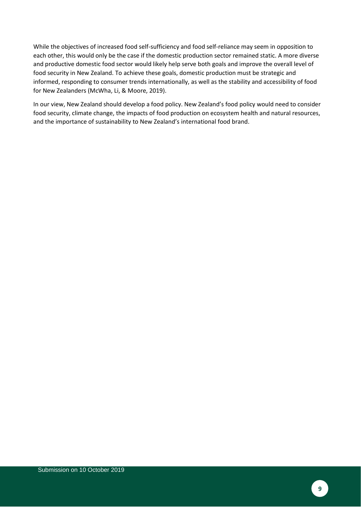While the objectives of increased food self-sufficiency and food self-reliance may seem in opposition to each other, this would only be the case if the domestic production sector remained static. A more diverse and productive domestic food sector would likely help serve both goals and improve the overall level of food security in New Zealand. To achieve these goals, domestic production must be strategic and informed, responding to consumer trends internationally, as well as the stability and accessibility of food for New Zealanders (McWha, Li, & Moore, 2019).

In our view, New Zealand should develop a food policy. New Zealand's food policy would need to consider food security, climate change, the impacts of food production on ecosystem health and natural resources, and the importance of sustainability to New Zealand's international food brand.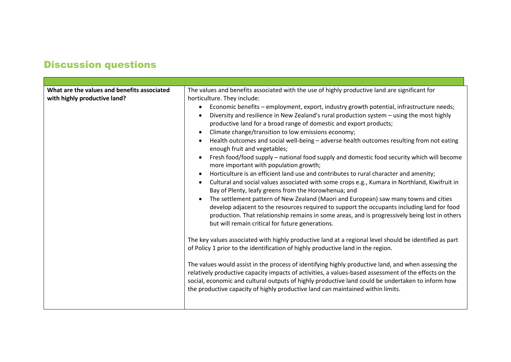# Discussion questions

| What are the values and benefits associated<br>with highly productive land? | The values and benefits associated with the use of highly productive land are significant for<br>horticulture. They include:<br>Economic benefits - employment, export, industry growth potential, infrastructure needs;<br>$\bullet$<br>Diversity and resilience in New Zealand's rural production system - using the most highly<br>$\bullet$<br>productive land for a broad range of domestic and export products;<br>Climate change/transition to low emissions economy;<br>$\bullet$<br>Health outcomes and social well-being - adverse health outcomes resulting from not eating<br>$\bullet$<br>enough fruit and vegetables;<br>Fresh food/food supply - national food supply and domestic food security which will become<br>more important with population growth;<br>Horticulture is an efficient land use and contributes to rural character and amenity;<br>$\bullet$<br>Cultural and social values associated with some crops e.g., Kumara in Northland, Kiwifruit in<br>$\bullet$<br>Bay of Plenty, leafy greens from the Horowhenua; and<br>The settlement pattern of New Zealand (Maori and European) saw many towns and cities<br>$\bullet$<br>develop adjacent to the resources required to support the occupants including land for food<br>production. That relationship remains in some areas, and is progressively being lost in others<br>but will remain critical for future generations.<br>The key values associated with highly productive land at a regional level should be identified as part<br>of Policy 1 prior to the identification of highly productive land in the region.<br>The values would assist in the process of identifying highly productive land, and when assessing the<br>relatively productive capacity impacts of activities, a values-based assessment of the effects on the<br>social, economic and cultural outputs of highly productive land could be undertaken to inform how<br>the productive capacity of highly productive land can maintained within limits. |
|-----------------------------------------------------------------------------|--------------------------------------------------------------------------------------------------------------------------------------------------------------------------------------------------------------------------------------------------------------------------------------------------------------------------------------------------------------------------------------------------------------------------------------------------------------------------------------------------------------------------------------------------------------------------------------------------------------------------------------------------------------------------------------------------------------------------------------------------------------------------------------------------------------------------------------------------------------------------------------------------------------------------------------------------------------------------------------------------------------------------------------------------------------------------------------------------------------------------------------------------------------------------------------------------------------------------------------------------------------------------------------------------------------------------------------------------------------------------------------------------------------------------------------------------------------------------------------------------------------------------------------------------------------------------------------------------------------------------------------------------------------------------------------------------------------------------------------------------------------------------------------------------------------------------------------------------------------------------------------------------------------------------------------------------------------------------------------------------------------------------|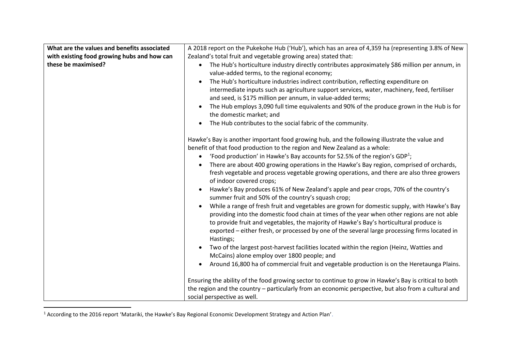| What are the values and benefits associated | A 2018 report on the Pukekohe Hub ('Hub'), which has an area of 4,359 ha (representing 3.8% of New                                                                                                                                                                                                                                                                                                  |
|---------------------------------------------|-----------------------------------------------------------------------------------------------------------------------------------------------------------------------------------------------------------------------------------------------------------------------------------------------------------------------------------------------------------------------------------------------------|
| with existing food growing hubs and how can | Zealand's total fruit and vegetable growing area) stated that:                                                                                                                                                                                                                                                                                                                                      |
| these be maximised?                         | The Hub's horticulture industry directly contributes approximately \$86 million per annum, in<br>$\bullet$<br>value-added terms, to the regional economy;                                                                                                                                                                                                                                           |
|                                             | The Hub's horticulture industries indirect contribution, reflecting expenditure on                                                                                                                                                                                                                                                                                                                  |
|                                             | intermediate inputs such as agriculture support services, water, machinery, feed, fertiliser                                                                                                                                                                                                                                                                                                        |
|                                             | and seed, is \$175 million per annum, in value-added terms;                                                                                                                                                                                                                                                                                                                                         |
|                                             | The Hub employs 3,090 full time equivalents and 90% of the produce grown in the Hub is for                                                                                                                                                                                                                                                                                                          |
|                                             | the domestic market; and                                                                                                                                                                                                                                                                                                                                                                            |
|                                             | The Hub contributes to the social fabric of the community.                                                                                                                                                                                                                                                                                                                                          |
|                                             |                                                                                                                                                                                                                                                                                                                                                                                                     |
|                                             | Hawke's Bay is another important food growing hub, and the following illustrate the value and                                                                                                                                                                                                                                                                                                       |
|                                             | benefit of that food production to the region and New Zealand as a whole:                                                                                                                                                                                                                                                                                                                           |
|                                             | 'Food production' in Hawke's Bay accounts for 52.5% of the region's GDP <sup>1</sup> ;<br>$\bullet$                                                                                                                                                                                                                                                                                                 |
|                                             | There are about 400 growing operations in the Hawke's Bay region, comprised of orchards,<br>fresh vegetable and process vegetable growing operations, and there are also three growers<br>of indoor covered crops;                                                                                                                                                                                  |
|                                             | Hawke's Bay produces 61% of New Zealand's apple and pear crops, 70% of the country's<br>summer fruit and 50% of the country's squash crop;                                                                                                                                                                                                                                                          |
|                                             | While a range of fresh fruit and vegetables are grown for domestic supply, with Hawke's Bay<br>$\bullet$<br>providing into the domestic food chain at times of the year when other regions are not able<br>to provide fruit and vegetables, the majority of Hawke's Bay's horticultural produce is<br>exported - either fresh, or processed by one of the several large processing firms located in |
|                                             | Hastings;                                                                                                                                                                                                                                                                                                                                                                                           |
|                                             | Two of the largest post-harvest facilities located within the region (Heinz, Watties and<br>$\bullet$                                                                                                                                                                                                                                                                                               |
|                                             | McCains) alone employ over 1800 people; and                                                                                                                                                                                                                                                                                                                                                         |
|                                             | Around 16,800 ha of commercial fruit and vegetable production is on the Heretaunga Plains.<br>$\bullet$                                                                                                                                                                                                                                                                                             |
|                                             |                                                                                                                                                                                                                                                                                                                                                                                                     |
|                                             | Ensuring the ability of the food growing sector to continue to grow in Hawke's Bay is critical to both                                                                                                                                                                                                                                                                                              |
|                                             | the region and the country - particularly from an economic perspective, but also from a cultural and<br>social perspective as well.                                                                                                                                                                                                                                                                 |
|                                             |                                                                                                                                                                                                                                                                                                                                                                                                     |

<sup>1</sup> According to the 2016 report 'Matariki, the Hawke's Bay Regional Economic Development Strategy and Action Plan'.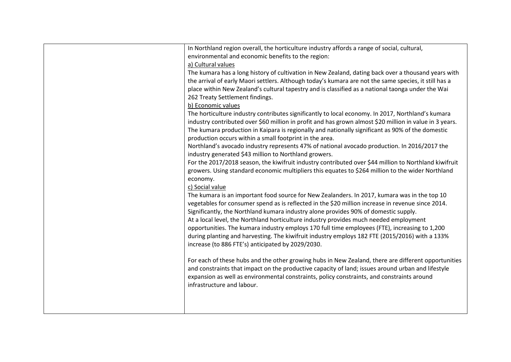| In Northland region overall, the horticulture industry affords a range of social, cultural,             |
|---------------------------------------------------------------------------------------------------------|
| environmental and economic benefits to the region:                                                      |
| a) Cultural values                                                                                      |
| The kumara has a long history of cultivation in New Zealand, dating back over a thousand years with     |
| the arrival of early Maori settlers. Although today's kumara are not the same species, it still has a   |
|                                                                                                         |
| place within New Zealand's cultural tapestry and is classified as a national taonga under the Wai       |
| 262 Treaty Settlement findings.                                                                         |
| b) Economic values                                                                                      |
| The horticulture industry contributes significantly to local economy. In 2017, Northland's kumara       |
| industry contributed over \$60 million in profit and has grown almost \$20 million in value in 3 years. |
| The kumara production in Kaipara is regionally and nationally significant as 90% of the domestic        |
| production occurs within a small footprint in the area.                                                 |
| Northland's avocado industry represents 47% of national avocado production. In 2016/2017 the            |
| industry generated \$43 million to Northland growers.                                                   |
| For the 2017/2018 season, the kiwifruit industry contributed over \$44 million to Northland kiwifruit   |
| growers. Using standard economic multipliers this equates to \$264 million to the wider Northland       |
| economy.                                                                                                |
| c) Social value                                                                                         |
| The kumara is an important food source for New Zealanders. In 2017, kumara was in the top 10            |
| vegetables for consumer spend as is reflected in the \$20 million increase in revenue since 2014.       |
| Significantly, the Northland kumara industry alone provides 90% of domestic supply.                     |
| At a local level, the Northland horticulture industry provides much needed employment                   |
| opportunities. The kumara industry employs 170 full time employees (FTE), increasing to 1,200           |
| during planting and harvesting. The kiwifruit industry employs 182 FTE (2015/2016) with a 133%          |
| increase (to 886 FTE's) anticipated by 2029/2030.                                                       |
|                                                                                                         |
|                                                                                                         |
| For each of these hubs and the other growing hubs in New Zealand, there are different opportunities     |
| and constraints that impact on the productive capacity of land; issues around urban and lifestyle       |
| expansion as well as environmental constraints, policy constraints, and constraints around              |
| infrastructure and labour.                                                                              |
|                                                                                                         |
|                                                                                                         |
|                                                                                                         |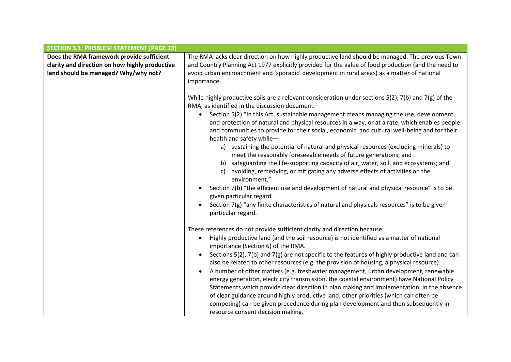| <b>SECTION 3.1: PROBLEM STATEMENT [PAGE 23]</b> |                                                                                                                                                                                                                                                                                                                     |
|-------------------------------------------------|---------------------------------------------------------------------------------------------------------------------------------------------------------------------------------------------------------------------------------------------------------------------------------------------------------------------|
| Does the RMA framework provide sufficient       | The RMA lacks clear direction on how highly productive land should be managed. The previous Town                                                                                                                                                                                                                    |
| clarity and direction on how highly productive  | and Country Planning Act 1977 explicitly provided for the value of food production (and the need to                                                                                                                                                                                                                 |
| land should be managed? Why/why not?            | avoid urban encroachment and 'sporadic' development in rural areas) as a matter of national                                                                                                                                                                                                                         |
|                                                 | importance.                                                                                                                                                                                                                                                                                                         |
|                                                 |                                                                                                                                                                                                                                                                                                                     |
|                                                 | While highly productive soils are a relevant consideration under sections $5(2)$ , $7(b)$ and $7(g)$ of the<br>RMA, as identified in the discussion document:                                                                                                                                                       |
|                                                 | Section 5(2) "In this Act, sustainable management means managing the use, development,<br>and protection of natural and physical resources in a way, or at a rate, which enables people<br>and communities to provide for their social, economic, and cultural well-being and for their<br>health and safety while- |
|                                                 | a) sustaining the potential of natural and physical resources (excluding minerals) to<br>meet the reasonably foreseeable needs of future generations; and                                                                                                                                                           |
|                                                 | b) safeguarding the life-supporting capacity of air, water, soil, and ecosystems; and<br>avoiding, remedying, or mitigating any adverse effects of activities on the<br>c)<br>environment."                                                                                                                         |
|                                                 | Section 7(b) "the efficient use and development of natural and physical resource" is to be<br>$\bullet$<br>given particular regard.                                                                                                                                                                                 |
|                                                 | Section 7(g) "any finite characteristics of natural and physicals resources" is to be given<br>particular regard.                                                                                                                                                                                                   |
|                                                 |                                                                                                                                                                                                                                                                                                                     |
|                                                 | These references do not provide sufficient clarity and direction because:<br>Highly productive land (and the soil resource) is not identified as a matter of national<br>$\bullet$                                                                                                                                  |
|                                                 | importance (Section 6) of the RMA.                                                                                                                                                                                                                                                                                  |
|                                                 | Sections 5(2), 7(b) and 7(g) are not specific to the features of highly productive land and can<br>$\bullet$                                                                                                                                                                                                        |
|                                                 | also be related to other resources (e.g. the provision of housing, a physical resource).                                                                                                                                                                                                                            |
|                                                 | A number of other matters (e.g. freshwater management, urban development, renewable<br>$\bullet$                                                                                                                                                                                                                    |
|                                                 | energy generation, electricity transmission, the coastal environment) have National Policy                                                                                                                                                                                                                          |
|                                                 | Statements which provide clear direction in plan making and implementation. In the absence                                                                                                                                                                                                                          |
|                                                 | of clear guidance around highly productive land, other priorities (which can often be                                                                                                                                                                                                                               |
|                                                 | competing) can be given precedence during plan development and then subsequently in                                                                                                                                                                                                                                 |
|                                                 | resource consent decision making.                                                                                                                                                                                                                                                                                   |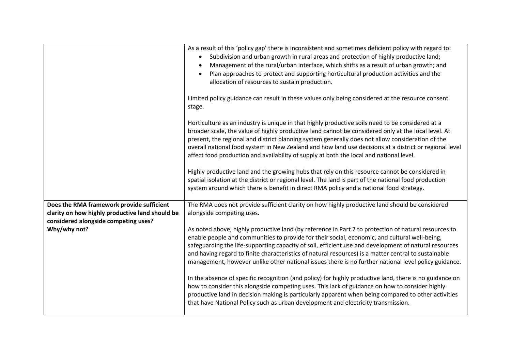|                                                                                              | As a result of this 'policy gap' there is inconsistent and sometimes deficient policy with regard to:<br>Subdivision and urban growth in rural areas and protection of highly productive land;<br>$\bullet$<br>Management of the rural/urban interface, which shifts as a result of urban growth; and<br>$\bullet$<br>Plan approaches to protect and supporting horticultural production activities and the<br>$\bullet$<br>allocation of resources to sustain production.                                                                                                                                                                                                                                                                                                                                             |
|----------------------------------------------------------------------------------------------|------------------------------------------------------------------------------------------------------------------------------------------------------------------------------------------------------------------------------------------------------------------------------------------------------------------------------------------------------------------------------------------------------------------------------------------------------------------------------------------------------------------------------------------------------------------------------------------------------------------------------------------------------------------------------------------------------------------------------------------------------------------------------------------------------------------------|
|                                                                                              | Limited policy guidance can result in these values only being considered at the resource consent<br>stage.                                                                                                                                                                                                                                                                                                                                                                                                                                                                                                                                                                                                                                                                                                             |
|                                                                                              | Horticulture as an industry is unique in that highly productive soils need to be considered at a<br>broader scale, the value of highly productive land cannot be considered only at the local level. At<br>present, the regional and district planning system generally does not allow consideration of the<br>overall national food system in New Zealand and how land use decisions at a district or regional level<br>affect food production and availability of supply at both the local and national level.<br>Highly productive land and the growing hubs that rely on this resource cannot be considered in<br>spatial isolation at the district or regional level. The land is part of the national food production<br>system around which there is benefit in direct RMA policy and a national food strategy. |
| Does the RMA framework provide sufficient<br>clarity on how highly productive land should be | The RMA does not provide sufficient clarity on how highly productive land should be considered<br>alongside competing uses.                                                                                                                                                                                                                                                                                                                                                                                                                                                                                                                                                                                                                                                                                            |
| considered alongside competing uses?<br>Why/why not?                                         | As noted above, highly productive land (by reference in Part 2 to protection of natural resources to<br>enable people and communities to provide for their social, economic, and cultural well-being,<br>safeguarding the life-supporting capacity of soil, efficient use and development of natural resources<br>and having regard to finite characteristics of natural resources) is a matter central to sustainable<br>management, however unlike other national issues there is no further national level policy guidance.                                                                                                                                                                                                                                                                                         |
|                                                                                              | In the absence of specific recognition (and policy) for highly productive land, there is no guidance on<br>how to consider this alongside competing uses. This lack of guidance on how to consider highly<br>productive land in decision making is particularly apparent when being compared to other activities<br>that have National Policy such as urban development and electricity transmission.                                                                                                                                                                                                                                                                                                                                                                                                                  |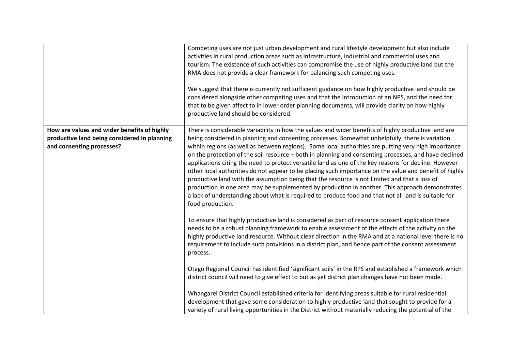|                                                                                                                          | Competing uses are not just urban development and rural lifestyle development but also include<br>activities in rural production areas such as infrastructure, industrial and commercial uses and<br>tourism. The existence of such activities can compromise the use of highly productive land but the<br>RMA does not provide a clear framework for balancing such competing uses.<br>We suggest that there is currently not sufficient guidance on how highly productive land should be<br>considered alongside other competing uses and that the introduction of an NPS, and the need for<br>that to be given affect to in lower order planning documents, will provide clarity on how highly<br>productive land should be considered.                                                                                                                                                                                                                                  |
|--------------------------------------------------------------------------------------------------------------------------|-----------------------------------------------------------------------------------------------------------------------------------------------------------------------------------------------------------------------------------------------------------------------------------------------------------------------------------------------------------------------------------------------------------------------------------------------------------------------------------------------------------------------------------------------------------------------------------------------------------------------------------------------------------------------------------------------------------------------------------------------------------------------------------------------------------------------------------------------------------------------------------------------------------------------------------------------------------------------------|
| How are values and wider benefits of highly<br>productive land being considered in planning<br>and consenting processes? | There is considerable variability in how the values and wider benefits of highly productive land are<br>being considered in planning and consenting processes. Somewhat unhelpfully, there is variation<br>within regions (as well as between regions). Some local authorities are putting very high importance<br>on the protection of the soil resource - both in planning and consenting processes, and have declined<br>applications citing the need to protect versatile land as one of the key reasons for decline. However<br>other local authorities do not appear to be placing such importance on the value and benefit of highly<br>productive land with the assumption being that the resource is not limited and that a loss of<br>production in one area may be supplemented by production in another. This approach demonstrates<br>a lack of understanding about what is required to produce food and that not all land is suitable for<br>food production. |
|                                                                                                                          | To ensure that highly productive land is considered as part of resource consent application there<br>needs to be a robust planning framework to enable assessment of the effects of the activity on the<br>highly productive land resource. Without clear direction in the RMA and at a national level there is no<br>requirement to include such provisions in a district plan, and hence part of the consent assessment<br>process.                                                                                                                                                                                                                                                                                                                                                                                                                                                                                                                                       |
|                                                                                                                          | Otago Regional Council has identified 'significant soils' in the RPS and established a framework which<br>district council will need to give effect to but as yet district plan changes have not been made.                                                                                                                                                                                                                                                                                                                                                                                                                                                                                                                                                                                                                                                                                                                                                                 |
|                                                                                                                          | Whangarei District Council established criteria for identifying areas suitable for rural residential<br>development that gave some consideration to highly productive land that sought to provide for a<br>variety of rural living opportunities in the District without materially reducing the potential of the                                                                                                                                                                                                                                                                                                                                                                                                                                                                                                                                                                                                                                                           |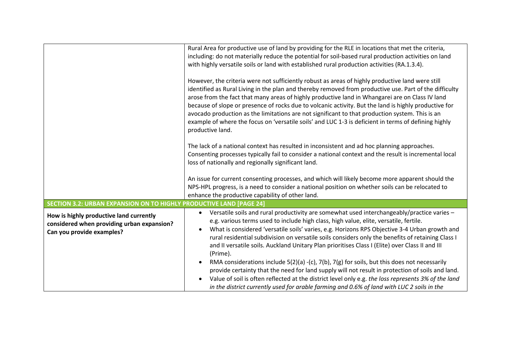|                                                                                                                    | Rural Area for productive use of land by providing for the RLE in locations that met the criteria,<br>including: do not materially reduce the potential for soil-based rural production activities on land<br>with highly versatile soils or land with established rural production activities (RA.1.3.4).<br>However, the criteria were not sufficiently robust as areas of highly productive land were still<br>identified as Rural Living in the plan and thereby removed from productive use. Part of the difficulty<br>arose from the fact that many areas of highly productive land in Whangarei are on Class IV land<br>because of slope or presence of rocks due to volcanic activity. But the land is highly productive for<br>avocado production as the limitations are not significant to that production system. This is an<br>example of where the focus on 'versatile soils' and LUC 1-3 is deficient in terms of defining highly<br>productive land.<br>The lack of a national context has resulted in inconsistent and ad hoc planning approaches.<br>Consenting processes typically fail to consider a national context and the result is incremental local |  |
|--------------------------------------------------------------------------------------------------------------------|------------------------------------------------------------------------------------------------------------------------------------------------------------------------------------------------------------------------------------------------------------------------------------------------------------------------------------------------------------------------------------------------------------------------------------------------------------------------------------------------------------------------------------------------------------------------------------------------------------------------------------------------------------------------------------------------------------------------------------------------------------------------------------------------------------------------------------------------------------------------------------------------------------------------------------------------------------------------------------------------------------------------------------------------------------------------------------------------------------------------------------------------------------------------------|--|
|                                                                                                                    | loss of nationally and regionally significant land.<br>An issue for current consenting processes, and which will likely become more apparent should the                                                                                                                                                                                                                                                                                                                                                                                                                                                                                                                                                                                                                                                                                                                                                                                                                                                                                                                                                                                                                      |  |
|                                                                                                                    | NPS-HPL progress, is a need to consider a national position on whether soils can be relocated to<br>enhance the productive capability of other land.                                                                                                                                                                                                                                                                                                                                                                                                                                                                                                                                                                                                                                                                                                                                                                                                                                                                                                                                                                                                                         |  |
| <b>SECTION 3.2: URBAN EXPANSION ON TO HIGHLY PRODUCTIVE LAND [PAGE 24]</b>                                         |                                                                                                                                                                                                                                                                                                                                                                                                                                                                                                                                                                                                                                                                                                                                                                                                                                                                                                                                                                                                                                                                                                                                                                              |  |
| How is highly productive land currently<br>considered when providing urban expansion?<br>Can you provide examples? | Versatile soils and rural productivity are somewhat used interchangeably/practice varies -<br>$\bullet$<br>e.g. various terms used to include high class, high value, elite, versatile, fertile.<br>What is considered 'versatile soils' varies, e.g. Horizons RPS Objective 3-4 Urban growth and<br>$\bullet$<br>rural residential subdivision on versatile soils considers only the benefits of retaining Class I<br>and II versatile soils. Auckland Unitary Plan prioritises Class I (Elite) over Class II and III<br>(Prime).                                                                                                                                                                                                                                                                                                                                                                                                                                                                                                                                                                                                                                           |  |
|                                                                                                                    | RMA considerations include 5(2)(a) -(c), 7(b), 7(g) for soils, but this does not necessarily<br>$\bullet$<br>provide certainty that the need for land supply will not result in protection of soils and land.<br>Value of soil is often reflected at the district level only e.g. the loss represents 3% of the land<br>in the district currently used for arable farming and 0.6% of land with LUC 2 soils in the                                                                                                                                                                                                                                                                                                                                                                                                                                                                                                                                                                                                                                                                                                                                                           |  |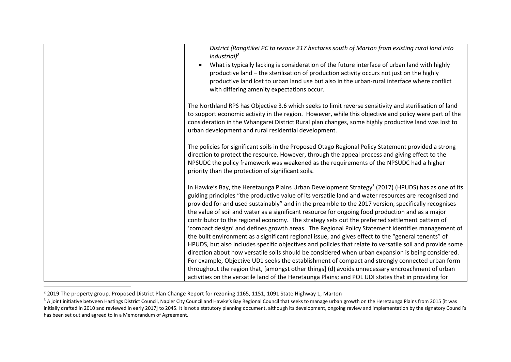| District (Rangitikei PC to rezone 217 hectares south of Marton from existing rural land into<br>industrial) <sup>2</sup>                                                                                                                                                                                                                                                       |
|--------------------------------------------------------------------------------------------------------------------------------------------------------------------------------------------------------------------------------------------------------------------------------------------------------------------------------------------------------------------------------|
| What is typically lacking is consideration of the future interface of urban land with highly                                                                                                                                                                                                                                                                                   |
| productive land - the sterilisation of production activity occurs not just on the highly                                                                                                                                                                                                                                                                                       |
| productive land lost to urban land use but also in the urban-rural interface where conflict                                                                                                                                                                                                                                                                                    |
| with differing amenity expectations occur.                                                                                                                                                                                                                                                                                                                                     |
| The Northland RPS has Objective 3.6 which seeks to limit reverse sensitivity and sterilisation of land<br>to support economic activity in the region. However, while this objective and policy were part of the<br>consideration in the Whangarei District Rural plan changes, some highly productive land was lost to<br>urban development and rural residential development. |
| The policies for significant soils in the Proposed Otago Regional Policy Statement provided a strong<br>direction to protect the resource. However, through the appeal process and giving effect to the<br>NPSUDC the policy framework was weakened as the requirements of the NPSUDC had a higher<br>priority than the protection of significant soils.                       |
| In Hawke's Bay, the Heretaunga Plains Urban Development Strategy <sup>3</sup> (2017) (HPUDS) has as one of its<br>guiding principles "the productive value of its versatile land and water resources are recognised and                                                                                                                                                        |
| provided for and used sustainably" and in the preamble to the 2017 version, specifically recognises                                                                                                                                                                                                                                                                            |
| the value of soil and water as a significant resource for ongoing food production and as a major                                                                                                                                                                                                                                                                               |
| contributor to the regional economy. The strategy sets out the preferred settlement pattern of                                                                                                                                                                                                                                                                                 |
| 'compact design' and defines growth areas. The Regional Policy Statement identifies management of                                                                                                                                                                                                                                                                              |
| the built environment as a significant regional issue, and gives effect to the "general tenents" of                                                                                                                                                                                                                                                                            |
| HPUDS, but also includes specific objectives and policies that relate to versatile soil and provide some                                                                                                                                                                                                                                                                       |
| direction about how versatile soils should be considered when urban expansion is being considered.                                                                                                                                                                                                                                                                             |
| For example, Objective UD1 seeks the establishment of compact and strongly connected urban form                                                                                                                                                                                                                                                                                |
| throughout the region that, [amongst other things] (d) avoids unnecessary encroachment of urban                                                                                                                                                                                                                                                                                |
| activities on the versatile land of the Heretaunga Plains; and POL UDI states that in providing for                                                                                                                                                                                                                                                                            |

<sup>&</sup>lt;sup>2</sup> 2019 The property group. Proposed District Plan Change Report for rezoning 1165, 1151, 1091 State Highway 1, Marton

<sup>&</sup>lt;sup>3</sup> A joint initiative between Hastings District Council, Napier City Council and Hawke's Bay Regional Council that seeks to manage urban growth on the Heretaunga Plains from 2015 [it was initially drafted in 2010 and reviewed in early 2017] to 2045. It is not a statutory planning document, although its development, ongoing review and implementation by the signatory Council's has been set out and agreed to in a Memorandum of Agreement.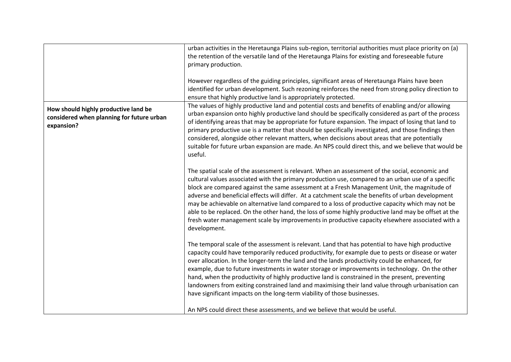|                                                                                                 | urban activities in the Heretaunga Plains sub-region, territorial authorities must place priority on (a)<br>the retention of the versatile land of the Heretaunga Plains for existing and foreseeable future<br>primary production.<br>However regardless of the guiding principles, significant areas of Heretaunga Plains have been<br>identified for urban development. Such rezoning reinforces the need from strong policy direction to<br>ensure that highly productive land is appropriately protected.                                                                                                                                                                                                                            |
|-------------------------------------------------------------------------------------------------|-------------------------------------------------------------------------------------------------------------------------------------------------------------------------------------------------------------------------------------------------------------------------------------------------------------------------------------------------------------------------------------------------------------------------------------------------------------------------------------------------------------------------------------------------------------------------------------------------------------------------------------------------------------------------------------------------------------------------------------------|
| How should highly productive land be<br>considered when planning for future urban<br>expansion? | The values of highly productive land and potential costs and benefits of enabling and/or allowing<br>urban expansion onto highly productive land should be specifically considered as part of the process<br>of identifying areas that may be appropriate for future expansion. The impact of losing that land to<br>primary productive use is a matter that should be specifically investigated, and those findings then<br>considered, alongside other relevant matters, when decisions about areas that are potentially<br>suitable for future urban expansion are made. An NPS could direct this, and we believe that would be<br>useful.                                                                                             |
|                                                                                                 | The spatial scale of the assessment is relevant. When an assessment of the social, economic and<br>cultural values associated with the primary production use, compared to an urban use of a specific<br>block are compared against the same assessment at a Fresh Management Unit, the magnitude of<br>adverse and beneficial effects will differ. At a catchment scale the benefits of urban development<br>may be achievable on alternative land compared to a loss of productive capacity which may not be<br>able to be replaced. On the other hand, the loss of some highly productive land may be offset at the<br>fresh water management scale by improvements in productive capacity elsewhere associated with a<br>development. |
|                                                                                                 | The temporal scale of the assessment is relevant. Land that has potential to have high productive<br>capacity could have temporarily reduced productivity, for example due to pests or disease or water<br>over allocation. In the longer-term the land and the lands productivity could be enhanced, for<br>example, due to future investments in water storage or improvements in technology. On the other<br>hand, when the productivity of highly productive land is constrained in the present, preventing<br>landowners from exiting constrained land and maximising their land value through urbanisation can<br>have significant impacts on the long-term viability of those businesses.                                          |
|                                                                                                 | An NPS could direct these assessments, and we believe that would be useful.                                                                                                                                                                                                                                                                                                                                                                                                                                                                                                                                                                                                                                                               |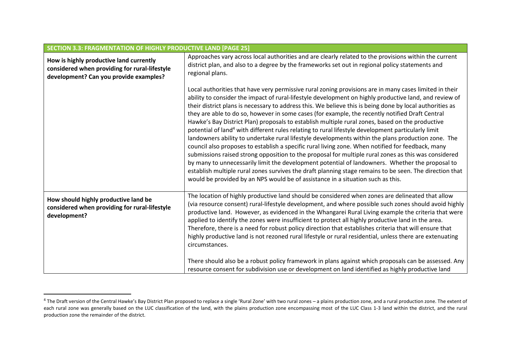| <b>SECTION 3.3: FRAGMENTATION OF HIGHLY PRODUCTIVE LAND [PAGE 25]</b>                                                              |                                                                                                                                                                                                                                                                                                                                                                                                                                                                                                                                                                                                                                                                                                                                                                                                                                                                                                                                                                                                                                                                                                                                                                                                                                                                          |
|------------------------------------------------------------------------------------------------------------------------------------|--------------------------------------------------------------------------------------------------------------------------------------------------------------------------------------------------------------------------------------------------------------------------------------------------------------------------------------------------------------------------------------------------------------------------------------------------------------------------------------------------------------------------------------------------------------------------------------------------------------------------------------------------------------------------------------------------------------------------------------------------------------------------------------------------------------------------------------------------------------------------------------------------------------------------------------------------------------------------------------------------------------------------------------------------------------------------------------------------------------------------------------------------------------------------------------------------------------------------------------------------------------------------|
| How is highly productive land currently<br>considered when providing for rural-lifestyle<br>development? Can you provide examples? | Approaches vary across local authorities and are clearly related to the provisions within the current<br>district plan, and also to a degree by the frameworks set out in regional policy statements and<br>regional plans.                                                                                                                                                                                                                                                                                                                                                                                                                                                                                                                                                                                                                                                                                                                                                                                                                                                                                                                                                                                                                                              |
|                                                                                                                                    | Local authorities that have very permissive rural zoning provisions are in many cases limited in their<br>ability to consider the impact of rural-lifestyle development on highly productive land, and review of<br>their district plans is necessary to address this. We believe this is being done by local authorities as<br>they are able to do so, however in some cases (for example, the recently notified Draft Central<br>Hawke's Bay District Plan) proposals to establish multiple rural zones, based on the productive<br>potential of land <sup>4</sup> with different rules relating to rural lifestyle development particularly limit<br>landowners ability to undertake rural lifestyle developments within the plans production zone. The<br>council also proposes to establish a specific rural living zone. When notified for feedback, many<br>submissions raised strong opposition to the proposal for multiple rural zones as this was considered<br>by many to unnecessarily limit the development potential of landowners. Whether the proposal to<br>establish multiple rural zones survives the draft planning stage remains to be seen. The direction that<br>would be provided by an NPS would be of assistance in a situation such as this. |
| How should highly productive land be<br>considered when providing for rural-lifestyle<br>development?                              | The location of highly productive land should be considered when zones are delineated that allow<br>(via resource consent) rural-lifestyle development, and where possible such zones should avoid highly<br>productive land. However, as evidenced in the Whangarei Rural Living example the criteria that were<br>applied to identify the zones were insufficient to protect all highly productive land in the area.<br>Therefore, there is a need for robust policy direction that establishes criteria that will ensure that<br>highly productive land is not rezoned rural lifestyle or rural residential, unless there are extenuating<br>circumstances.<br>There should also be a robust policy framework in plans against which proposals can be assessed. Any<br>resource consent for subdivision use or development on land identified as highly productive land                                                                                                                                                                                                                                                                                                                                                                                               |

<sup>&</sup>lt;sup>4</sup> The Draft version of the Central Hawke's Bay District Plan proposed to replace a single 'Rural Zone' with two rural zones – a plains production zone, and a rural production zone. The extent of each rural zone was generally based on the LUC classification of the land, with the plains production zone encompassing most of the LUC Class 1-3 land within the district, and the rural production zone the remainder of the district.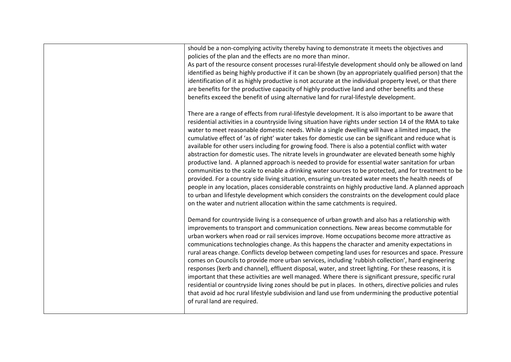|  | should be a non-complying activity thereby having to demonstrate it meets the objectives and<br>policies of the plan and the effects are no more than minor.<br>As part of the resource consent processes rural-lifestyle development should only be allowed on land<br>identified as being highly productive if it can be shown (by an appropriately qualified person) that the<br>identification of it as highly productive is not accurate at the individual property level, or that there<br>are benefits for the productive capacity of highly productive land and other benefits and these<br>benefits exceed the benefit of using alternative land for rural-lifestyle development.                                                                                                                                                                                                                                                                                                                                                                                                                                                                                                                                                                 |
|--|------------------------------------------------------------------------------------------------------------------------------------------------------------------------------------------------------------------------------------------------------------------------------------------------------------------------------------------------------------------------------------------------------------------------------------------------------------------------------------------------------------------------------------------------------------------------------------------------------------------------------------------------------------------------------------------------------------------------------------------------------------------------------------------------------------------------------------------------------------------------------------------------------------------------------------------------------------------------------------------------------------------------------------------------------------------------------------------------------------------------------------------------------------------------------------------------------------------------------------------------------------|
|  | There are a range of effects from rural-lifestyle development. It is also important to be aware that<br>residential activities in a countryside living situation have rights under section 14 of the RMA to take<br>water to meet reasonable domestic needs. While a single dwelling will have a limited impact, the<br>cumulative effect of 'as of right' water takes for domestic use can be significant and reduce what is<br>available for other users including for growing food. There is also a potential conflict with water<br>abstraction for domestic uses. The nitrate levels in groundwater are elevated beneath some highly<br>productive land. A planned approach is needed to provide for essential water sanitation for urban<br>communities to the scale to enable a drinking water sources to be protected, and for treatment to be<br>provided. For a country side living situation, ensuring un-treated water meets the health needs of<br>people in any location, places considerable constraints on highly productive land. A planned approach<br>to urban and lifestyle development which considers the constraints on the development could place<br>on the water and nutrient allocation within the same catchments is required. |
|  | Demand for countryside living is a consequence of urban growth and also has a relationship with<br>improvements to transport and communication connections. New areas become commutable for<br>urban workers when road or rail services improve. Home occupations become more attractive as<br>communications technologies change. As this happens the character and amenity expectations in<br>rural areas change. Conflicts develop between competing land uses for resources and space. Pressure<br>comes on Councils to provide more urban services, including 'rubbish collection', hard engineering<br>responses (kerb and channel), effluent disposal, water, and street lighting. For these reasons, it is<br>important that these activities are well managed. Where there is significant pressure, specific rural<br>residential or countryside living zones should be put in places. In others, directive policies and rules<br>that avoid ad hoc rural lifestyle subdivision and land use from undermining the productive potential<br>of rural land are required.                                                                                                                                                                             |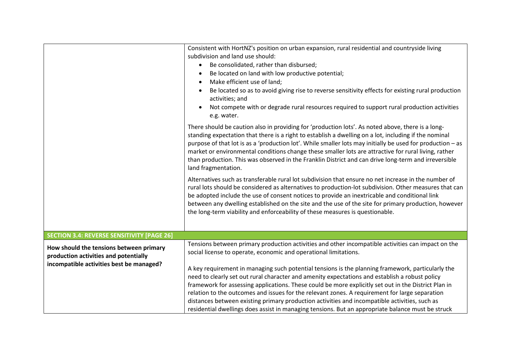|                                                   | Consistent with HortNZ's position on urban expansion, rural residential and countryside living                                                                                                                                                                                                                                                                                                                                                                                                                                                                  |
|---------------------------------------------------|-----------------------------------------------------------------------------------------------------------------------------------------------------------------------------------------------------------------------------------------------------------------------------------------------------------------------------------------------------------------------------------------------------------------------------------------------------------------------------------------------------------------------------------------------------------------|
|                                                   | subdivision and land use should:                                                                                                                                                                                                                                                                                                                                                                                                                                                                                                                                |
|                                                   | Be consolidated, rather than disbursed;<br>$\bullet$                                                                                                                                                                                                                                                                                                                                                                                                                                                                                                            |
|                                                   | Be located on land with low productive potential;<br>$\bullet$                                                                                                                                                                                                                                                                                                                                                                                                                                                                                                  |
|                                                   | Make efficient use of land;                                                                                                                                                                                                                                                                                                                                                                                                                                                                                                                                     |
|                                                   | Be located so as to avoid giving rise to reverse sensitivity effects for existing rural production<br>activities; and                                                                                                                                                                                                                                                                                                                                                                                                                                           |
|                                                   | Not compete with or degrade rural resources required to support rural production activities<br>e.g. water.                                                                                                                                                                                                                                                                                                                                                                                                                                                      |
|                                                   | There should be caution also in providing for 'production lots'. As noted above, there is a long-<br>standing expectation that there is a right to establish a dwelling on a lot, including if the nominal<br>purpose of that lot is as a 'production lot'. While smaller lots may initially be used for production - as<br>market or environmental conditions change these smaller lots are attractive for rural living, rather<br>than production. This was observed in the Franklin District and can drive long-term and irreversible<br>land fragmentation. |
|                                                   | Alternatives such as transferable rural lot subdivision that ensure no net increase in the number of<br>rural lots should be considered as alternatives to production-lot subdivision. Other measures that can<br>be adopted include the use of consent notices to provide an inextricable and conditional link<br>between any dwelling established on the site and the use of the site for primary production, however<br>the long-term viability and enforceability of these measures is questionable.                                                        |
| <b>SECTION 3.4: REVERSE SENSITIVITY [PAGE 26]</b> |                                                                                                                                                                                                                                                                                                                                                                                                                                                                                                                                                                 |
|                                                   | Tensions between primary production activities and other incompatible activities can impact on the                                                                                                                                                                                                                                                                                                                                                                                                                                                              |
| How should the tensions between primary           | social license to operate, economic and operational limitations.                                                                                                                                                                                                                                                                                                                                                                                                                                                                                                |
| production activities and potentially             |                                                                                                                                                                                                                                                                                                                                                                                                                                                                                                                                                                 |
| incompatible activities best be managed?          | A key requirement in managing such potential tensions is the planning framework, particularly the                                                                                                                                                                                                                                                                                                                                                                                                                                                               |
|                                                   | need to clearly set out rural character and amenity expectations and establish a robust policy                                                                                                                                                                                                                                                                                                                                                                                                                                                                  |
|                                                   | framework for assessing applications. These could be more explicitly set out in the District Plan in                                                                                                                                                                                                                                                                                                                                                                                                                                                            |
|                                                   | relation to the outcomes and issues for the relevant zones. A requirement for large separation                                                                                                                                                                                                                                                                                                                                                                                                                                                                  |
|                                                   | distances between existing primary production activities and incompatible activities, such as                                                                                                                                                                                                                                                                                                                                                                                                                                                                   |
|                                                   | residential dwellings does assist in managing tensions. But an appropriate balance must be struck                                                                                                                                                                                                                                                                                                                                                                                                                                                               |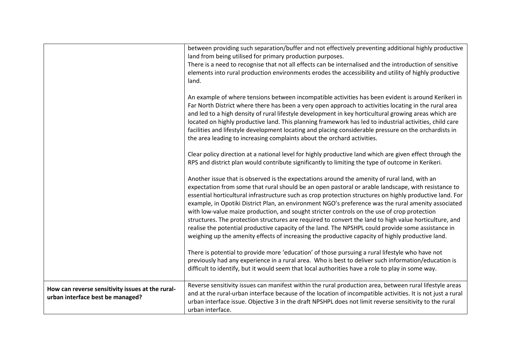|                                                                                      | between providing such separation/buffer and not effectively preventing additional highly productive<br>land from being utilised for primary production purposes.<br>There is a need to recognise that not all effects can be internalised and the introduction of sensitive<br>elements into rural production environments erodes the accessibility and utility of highly productive<br>land.<br>An example of where tensions between incompatible activities has been evident is around Kerikeri in<br>Far North District where there has been a very open approach to activities locating in the rural area<br>and led to a high density of rural lifestyle development in key horticultural growing areas which are<br>located on highly productive land. This planning framework has led to industrial activities, child care<br>facilities and lifestyle development locating and placing considerable pressure on the orchardists in<br>the area leading to increasing complaints about the orchard activities.<br>Clear policy direction at a national level for highly productive land which are given effect through the<br>RPS and district plan would contribute significantly to limiting the type of outcome in Kerikeri.<br>Another issue that is observed is the expectations around the amenity of rural land, with an<br>expectation from some that rural should be an open pastoral or arable landscape, with resistance to<br>essential horticultural infrastructure such as crop protection structures on highly productive land. For<br>example, in Opotiki District Plan, an environment NGO's preference was the rural amenity associated<br>with low-value maize production, and sought stricter controls on the use of crop protection<br>structures. The protection structures are required to convert the land to high value horticulture, and<br>realise the potential productive capacity of the land. The NPSHPL could provide some assistance in<br>weighing up the amenity effects of increasing the productive capacity of highly productive land.<br>There is potential to provide more 'education' of those pursuing a rural lifestyle who have not<br>previously had any experience in a rural area. Who is best to deliver such information/education is<br>difficult to identify, but it would seem that local authorities have a role to play in some way. |
|--------------------------------------------------------------------------------------|----------------------------------------------------------------------------------------------------------------------------------------------------------------------------------------------------------------------------------------------------------------------------------------------------------------------------------------------------------------------------------------------------------------------------------------------------------------------------------------------------------------------------------------------------------------------------------------------------------------------------------------------------------------------------------------------------------------------------------------------------------------------------------------------------------------------------------------------------------------------------------------------------------------------------------------------------------------------------------------------------------------------------------------------------------------------------------------------------------------------------------------------------------------------------------------------------------------------------------------------------------------------------------------------------------------------------------------------------------------------------------------------------------------------------------------------------------------------------------------------------------------------------------------------------------------------------------------------------------------------------------------------------------------------------------------------------------------------------------------------------------------------------------------------------------------------------------------------------------------------------------------------------------------------------------------------------------------------------------------------------------------------------------------------------------------------------------------------------------------------------------------------------------------------------------------------------------------------------------------------------------------------------------------------------------------------------------------------------------------------------------------------------|
| How can reverse sensitivity issues at the rural-<br>urban interface best be managed? | Reverse sensitivity issues can manifest within the rural production area, between rural lifestyle areas<br>and at the rural-urban interface because of the location of incompatible activities. It is not just a rural<br>urban interface issue. Objective 3 in the draft NPSHPL does not limit reverse sensitivity to the rural<br>urban interface.                                                                                                                                                                                                                                                                                                                                                                                                                                                                                                                                                                                                                                                                                                                                                                                                                                                                                                                                                                                                                                                                                                                                                                                                                                                                                                                                                                                                                                                                                                                                                                                                                                                                                                                                                                                                                                                                                                                                                                                                                                               |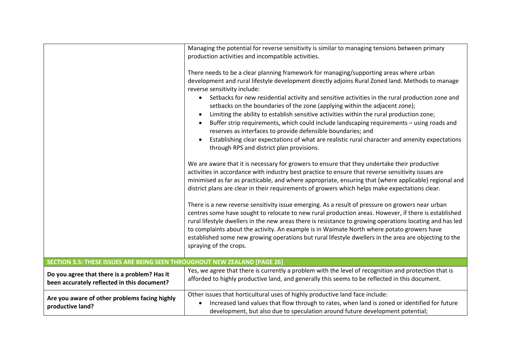|                                                                                             | Managing the potential for reverse sensitivity is similar to managing tensions between primary<br>production activities and incompatible activities.<br>There needs to be a clear planning framework for managing/supporting areas where urban<br>development and rural lifestyle development directly adjoins Rural Zoned land. Methods to manage<br>reverse sensitivity include:<br>Setbacks for new residential activity and sensitive activities in the rural production zone and<br>$\bullet$<br>setbacks on the boundaries of the zone (applying within the adjacent zone);<br>Limiting the ability to establish sensitive activities within the rural production zone;<br>$\bullet$<br>Buffer strip requirements, which could include landscaping requirements - using roads and<br>reserves as interfaces to provide defensible boundaries; and<br>Establishing clear expectations of what are realistic rural character and amenity expectations<br>through RPS and district plan provisions.<br>We are aware that it is necessary for growers to ensure that they undertake their productive<br>activities in accordance with industry best practice to ensure that reverse sensitivity issues are<br>minimised as far as practicable, and where appropriate, ensuring that (where applicable) regional and<br>district plans are clear in their requirements of growers which helps make expectations clear.<br>There is a new reverse sensitivity issue emerging. As a result of pressure on growers near urban<br>centres some have sought to relocate to new rural production areas. However, if there is established<br>rural lifestyle dwellers in the new areas there is resistance to growing operations locating and has led<br>to complaints about the activity. An example is in Waimate North where potato growers have<br>established some new growing operations but rural lifestyle dwellers in the area are objecting to the<br>spraying of the crops. |
|---------------------------------------------------------------------------------------------|----------------------------------------------------------------------------------------------------------------------------------------------------------------------------------------------------------------------------------------------------------------------------------------------------------------------------------------------------------------------------------------------------------------------------------------------------------------------------------------------------------------------------------------------------------------------------------------------------------------------------------------------------------------------------------------------------------------------------------------------------------------------------------------------------------------------------------------------------------------------------------------------------------------------------------------------------------------------------------------------------------------------------------------------------------------------------------------------------------------------------------------------------------------------------------------------------------------------------------------------------------------------------------------------------------------------------------------------------------------------------------------------------------------------------------------------------------------------------------------------------------------------------------------------------------------------------------------------------------------------------------------------------------------------------------------------------------------------------------------------------------------------------------------------------------------------------------------------------------------------------------------------------------------------------------------------------------------------------------|
| SECTION 3.5: THESE ISSUES ARE BEING SEEN THROUGHOUT NEW ZEALAND [PAGE 26]                   |                                                                                                                                                                                                                                                                                                                                                                                                                                                                                                                                                                                                                                                                                                                                                                                                                                                                                                                                                                                                                                                                                                                                                                                                                                                                                                                                                                                                                                                                                                                                                                                                                                                                                                                                                                                                                                                                                                                                                                                  |
| Do you agree that there is a problem? Has it<br>been accurately reflected in this document? | Yes, we agree that there is currently a problem with the level of recognition and protection that is<br>afforded to highly productive land, and generally this seems to be reflected in this document.                                                                                                                                                                                                                                                                                                                                                                                                                                                                                                                                                                                                                                                                                                                                                                                                                                                                                                                                                                                                                                                                                                                                                                                                                                                                                                                                                                                                                                                                                                                                                                                                                                                                                                                                                                           |
| Are you aware of other problems facing highly<br>productive land?                           | Other issues that horticultural uses of highly productive land face include:<br>Increased land values that flow through to rates, when land is zoned or identified for future<br>development, but also due to speculation around future development potential;                                                                                                                                                                                                                                                                                                                                                                                                                                                                                                                                                                                                                                                                                                                                                                                                                                                                                                                                                                                                                                                                                                                                                                                                                                                                                                                                                                                                                                                                                                                                                                                                                                                                                                                   |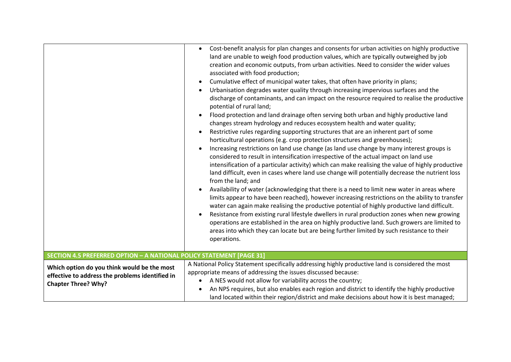|                                                                                                                              | Cost-benefit analysis for plan changes and consents for urban activities on highly productive<br>$\bullet$<br>land are unable to weigh food production values, which are typically outweighed by job<br>creation and economic outputs, from urban activities. Need to consider the wider values<br>associated with food production;<br>Cumulative effect of municipal water takes, that often have priority in plans;<br>$\bullet$<br>Urbanisation degrades water quality through increasing impervious surfaces and the<br>discharge of contaminants, and can impact on the resource required to realise the productive<br>potential of rural land;<br>Flood protection and land drainage often serving both urban and highly productive land<br>changes stream hydrology and reduces ecosystem health and water quality;<br>Restrictive rules regarding supporting structures that are an inherent part of some<br>$\bullet$<br>horticultural operations (e.g. crop protection structures and greenhouses);<br>Increasing restrictions on land use change (as land use change by many interest groups is<br>considered to result in intensification irrespective of the actual impact on land use<br>intensification of a particular activity) which can make realising the value of highly productive<br>land difficult, even in cases where land use change will potentially decrease the nutrient loss<br>from the land; and<br>Availability of water (acknowledging that there is a need to limit new water in areas where<br>limits appear to have been reached), however increasing restrictions on the ability to transfer<br>water can again make realising the productive potential of highly productive land difficult.<br>Resistance from existing rural lifestyle dwellers in rural production zones when new growing<br>$\bullet$<br>operations are established in the area on highly productive land. Such growers are limited to<br>areas into which they can locate but are being further limited by such resistance to their<br>operations. |
|------------------------------------------------------------------------------------------------------------------------------|----------------------------------------------------------------------------------------------------------------------------------------------------------------------------------------------------------------------------------------------------------------------------------------------------------------------------------------------------------------------------------------------------------------------------------------------------------------------------------------------------------------------------------------------------------------------------------------------------------------------------------------------------------------------------------------------------------------------------------------------------------------------------------------------------------------------------------------------------------------------------------------------------------------------------------------------------------------------------------------------------------------------------------------------------------------------------------------------------------------------------------------------------------------------------------------------------------------------------------------------------------------------------------------------------------------------------------------------------------------------------------------------------------------------------------------------------------------------------------------------------------------------------------------------------------------------------------------------------------------------------------------------------------------------------------------------------------------------------------------------------------------------------------------------------------------------------------------------------------------------------------------------------------------------------------------------------------------------------------------------------------------------------------------------------------------|
| SECTION 4.5 PREFERRED OPTION - A NATIONAL POLICY STATEMENT [PAGE 31]                                                         |                                                                                                                                                                                                                                                                                                                                                                                                                                                                                                                                                                                                                                                                                                                                                                                                                                                                                                                                                                                                                                                                                                                                                                                                                                                                                                                                                                                                                                                                                                                                                                                                                                                                                                                                                                                                                                                                                                                                                                                                                                                                |
| Which option do you think would be the most<br>effective to address the problems identified in<br><b>Chapter Three? Why?</b> | A National Policy Statement specifically addressing highly productive land is considered the most<br>appropriate means of addressing the issues discussed because:<br>A NES would not allow for variability across the country;<br>$\bullet$<br>An NPS requires, but also enables each region and district to identify the highly productive<br>$\bullet$<br>land located within their region/district and make decisions about how it is best managed;                                                                                                                                                                                                                                                                                                                                                                                                                                                                                                                                                                                                                                                                                                                                                                                                                                                                                                                                                                                                                                                                                                                                                                                                                                                                                                                                                                                                                                                                                                                                                                                                        |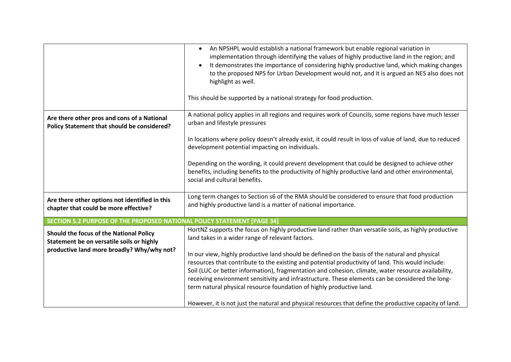|                                                                                                                                    | An NPSHPL would establish a national framework but enable regional variation in<br>$\bullet$<br>implementation through identifying the values of highly productive land in the region; and<br>It demonstrates the importance of considering highly productive land, which making changes<br>$\bullet$<br>to the proposed NPS for Urban Development would not, and it is argued an NES also does not<br>highlight as well.<br>This should be supported by a national strategy for food production. |
|------------------------------------------------------------------------------------------------------------------------------------|---------------------------------------------------------------------------------------------------------------------------------------------------------------------------------------------------------------------------------------------------------------------------------------------------------------------------------------------------------------------------------------------------------------------------------------------------------------------------------------------------|
| Are there other pros and cons of a National<br>Policy Statement that should be considered?                                         | A national policy applies in all regions and requires work of Councils, some regions have much lesser<br>urban and lifestyle pressures                                                                                                                                                                                                                                                                                                                                                            |
|                                                                                                                                    | In locations where policy doesn't already exist, it could result in loss of value of land, due to reduced<br>development potential impacting on individuals.                                                                                                                                                                                                                                                                                                                                      |
|                                                                                                                                    | Depending on the wording, it could prevent development that could be designed to achieve other<br>benefits, including benefits to the productivity of highly productive land and other environmental,<br>social and cultural benefits.                                                                                                                                                                                                                                                            |
| Are there other options not identified in this<br>chapter that could be more effective?                                            | Long term changes to Section s6 of the RMA should be considered to ensure that food production<br>and highly productive land is a matter of national importance.                                                                                                                                                                                                                                                                                                                                  |
| SECTION 5.2 PURPOSE OF THE PROPOSED NATIONAL POLICY STATEMENT [PAGE 34]                                                            |                                                                                                                                                                                                                                                                                                                                                                                                                                                                                                   |
| Should the focus of the National Policy<br>Statement be on versatile soils or highly<br>productive land more broadly? Why/why not? | HortNZ supports the focus on highly productive land rather than versatile soils, as highly productive<br>land takes in a wider range of relevant factors.                                                                                                                                                                                                                                                                                                                                         |
|                                                                                                                                    | In our view, highly productive land should be defined on the basis of the natural and physical                                                                                                                                                                                                                                                                                                                                                                                                    |
|                                                                                                                                    | resources that contribute to the existing and potential productivity of land. This would include:                                                                                                                                                                                                                                                                                                                                                                                                 |
|                                                                                                                                    | Soil (LUC or better information), fragmentation and cohesion, climate, water resource availability,<br>receiving environment sensitivity and infrastructure. These elements can be considered the long-                                                                                                                                                                                                                                                                                           |
|                                                                                                                                    | term natural physical resource foundation of highly productive land.                                                                                                                                                                                                                                                                                                                                                                                                                              |
|                                                                                                                                    | However, it is not just the natural and physical resources that define the productive capacity of land.                                                                                                                                                                                                                                                                                                                                                                                           |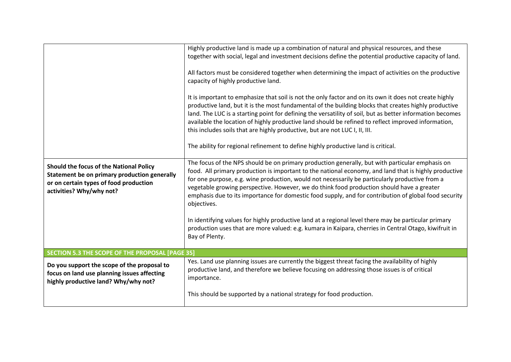|                                                                                                                                                               | Highly productive land is made up a combination of natural and physical resources, and these<br>together with social, legal and investment decisions define the potential productive capacity of land.<br>All factors must be considered together when determining the impact of activities on the productive<br>capacity of highly productive land.<br>It is important to emphasize that soil is not the only factor and on its own it does not create highly<br>productive land, but it is the most fundamental of the building blocks that creates highly productive<br>land. The LUC is a starting point for defining the versatility of soil, but as better information becomes<br>available the location of highly productive land should be refined to reflect improved information,<br>this includes soils that are highly productive, but are not LUC I, II, III.<br>The ability for regional refinement to define highly productive land is critical. |
|---------------------------------------------------------------------------------------------------------------------------------------------------------------|-----------------------------------------------------------------------------------------------------------------------------------------------------------------------------------------------------------------------------------------------------------------------------------------------------------------------------------------------------------------------------------------------------------------------------------------------------------------------------------------------------------------------------------------------------------------------------------------------------------------------------------------------------------------------------------------------------------------------------------------------------------------------------------------------------------------------------------------------------------------------------------------------------------------------------------------------------------------|
| Should the focus of the National Policy<br>Statement be on primary production generally<br>or on certain types of food production<br>activities? Why/why not? | The focus of the NPS should be on primary production generally, but with particular emphasis on<br>food. All primary production is important to the national economy, and land that is highly productive<br>for one purpose, e.g. wine production, would not necessarily be particularly productive from a<br>vegetable growing perspective. However, we do think food production should have a greater<br>emphasis due to its importance for domestic food supply, and for contribution of global food security<br>objectives.<br>In identifying values for highly productive land at a regional level there may be particular primary<br>production uses that are more valued: e.g. kumara in Kaipara, cherries in Central Otago, kiwifruit in<br>Bay of Plenty.                                                                                                                                                                                              |
| SECTION 5.3 THE SCOPE OF THE PROPOSAL [PAGE 35]                                                                                                               |                                                                                                                                                                                                                                                                                                                                                                                                                                                                                                                                                                                                                                                                                                                                                                                                                                                                                                                                                                 |
| Do you support the scope of the proposal to<br>focus on land use planning issues affecting<br>highly productive land? Why/why not?                            | Yes. Land use planning issues are currently the biggest threat facing the availability of highly<br>productive land, and therefore we believe focusing on addressing those issues is of critical<br>importance.<br>This should be supported by a national strategy for food production.                                                                                                                                                                                                                                                                                                                                                                                                                                                                                                                                                                                                                                                                         |
|                                                                                                                                                               |                                                                                                                                                                                                                                                                                                                                                                                                                                                                                                                                                                                                                                                                                                                                                                                                                                                                                                                                                                 |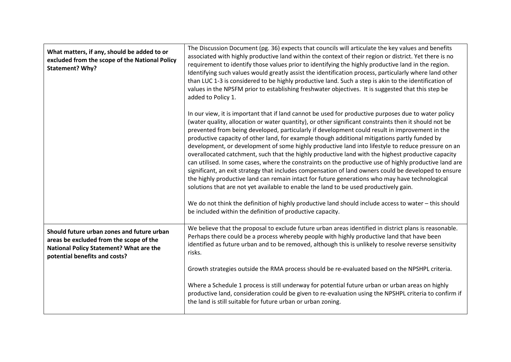| What matters, if any, should be added to or<br>excluded from the scope of the National Policy<br>Statement? Why?                                                  | The Discussion Document (pg. 36) expects that councils will articulate the key values and benefits<br>associated with highly productive land within the context of their region or district. Yet there is no<br>requirement to identify those values prior to identifying the highly productive land in the region.<br>Identifying such values would greatly assist the identification process, particularly where land other<br>than LUC 1-3 is considered to be highly productive land. Such a step is akin to the identification of<br>values in the NPSFM prior to establishing freshwater objectives. It is suggested that this step be<br>added to Policy 1.                                                                                                                                                                                                                                                                                                                                                                                                                                                                                                                                              |
|-------------------------------------------------------------------------------------------------------------------------------------------------------------------|-----------------------------------------------------------------------------------------------------------------------------------------------------------------------------------------------------------------------------------------------------------------------------------------------------------------------------------------------------------------------------------------------------------------------------------------------------------------------------------------------------------------------------------------------------------------------------------------------------------------------------------------------------------------------------------------------------------------------------------------------------------------------------------------------------------------------------------------------------------------------------------------------------------------------------------------------------------------------------------------------------------------------------------------------------------------------------------------------------------------------------------------------------------------------------------------------------------------|
|                                                                                                                                                                   | In our view, it is important that if land cannot be used for productive purposes due to water policy<br>(water quality, allocation or water quantity), or other significant constraints then it should not be<br>prevented from being developed, particularly if development could result in improvement in the<br>productive capacity of other land, for example though additional mitigations partly funded by<br>development, or development of some highly productive land into lifestyle to reduce pressure on an<br>overallocated catchment, such that the highly productive land with the highest productive capacity<br>can utilised. In some cases, where the constraints on the productive use of highly productive land are<br>significant, an exit strategy that includes compensation of land owners could be developed to ensure<br>the highly productive land can remain intact for future generations who may have technological<br>solutions that are not yet available to enable the land to be used productively gain.<br>We do not think the definition of highly productive land should include access to water - this should<br>be included within the definition of productive capacity. |
| Should future urban zones and future urban<br>areas be excluded from the scope of the<br>National Policy Statement? What are the<br>potential benefits and costs? | We believe that the proposal to exclude future urban areas identified in district plans is reasonable.<br>Perhaps there could be a process whereby people with highly productive land that have been<br>identified as future urban and to be removed, although this is unlikely to resolve reverse sensitivity<br>risks.                                                                                                                                                                                                                                                                                                                                                                                                                                                                                                                                                                                                                                                                                                                                                                                                                                                                                        |
|                                                                                                                                                                   | Growth strategies outside the RMA process should be re-evaluated based on the NPSHPL criteria.                                                                                                                                                                                                                                                                                                                                                                                                                                                                                                                                                                                                                                                                                                                                                                                                                                                                                                                                                                                                                                                                                                                  |
|                                                                                                                                                                   | Where a Schedule 1 process is still underway for potential future urban or urban areas on highly<br>productive land, consideration could be given to re-evaluation using the NPSHPL criteria to confirm if<br>the land is still suitable for future urban or urban zoning.                                                                                                                                                                                                                                                                                                                                                                                                                                                                                                                                                                                                                                                                                                                                                                                                                                                                                                                                      |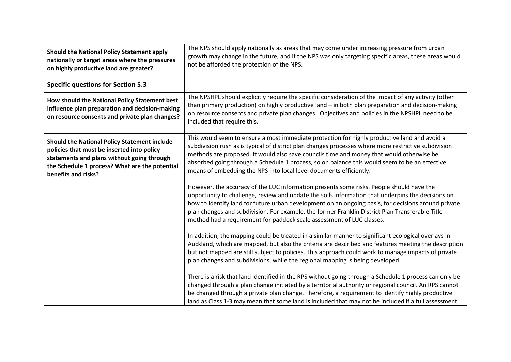| Should the National Policy Statement apply<br>nationally or target areas where the pressures<br>on highly productive land are greater?                                                                                   | The NPS should apply nationally as areas that may come under increasing pressure from urban<br>growth may change in the future, and if the NPS was only targeting specific areas, these areas would<br>not be afforded the protection of the NPS.                                                                                                                                                                                                                                |
|--------------------------------------------------------------------------------------------------------------------------------------------------------------------------------------------------------------------------|----------------------------------------------------------------------------------------------------------------------------------------------------------------------------------------------------------------------------------------------------------------------------------------------------------------------------------------------------------------------------------------------------------------------------------------------------------------------------------|
| <b>Specific questions for Section 5.3</b>                                                                                                                                                                                |                                                                                                                                                                                                                                                                                                                                                                                                                                                                                  |
| How should the National Policy Statement best<br>influence plan preparation and decision-making<br>on resource consents and private plan changes?                                                                        | The NPSHPL should explicitly require the specific consideration of the impact of any activity (other<br>than primary production) on highly productive land - in both plan preparation and decision-making<br>on resource consents and private plan changes. Objectives and policies in the NPSHPL need to be<br>included that require this.                                                                                                                                      |
| <b>Should the National Policy Statement include</b><br>policies that must be inserted into policy<br>statements and plans without going through<br>the Schedule 1 process? What are the potential<br>benefits and risks? | This would seem to ensure almost immediate protection for highly productive land and avoid a<br>subdivision rush as is typical of district plan changes processes where more restrictive subdivision<br>methods are proposed. It would also save councils time and money that would otherwise be<br>absorbed going through a Schedule 1 process, so on balance this would seem to be an effective<br>means of embedding the NPS into local level documents efficiently.          |
|                                                                                                                                                                                                                          | However, the accuracy of the LUC information presents some risks. People should have the<br>opportunity to challenge, review and update the soils information that underpins the decisions on<br>how to identify land for future urban development on an ongoing basis, for decisions around private<br>plan changes and subdivision. For example, the former Franklin District Plan Transferable Title<br>method had a requirement for paddock scale assessment of LUC classes. |
|                                                                                                                                                                                                                          | In addition, the mapping could be treated in a similar manner to significant ecological overlays in<br>Auckland, which are mapped, but also the criteria are described and features meeting the description<br>but not mapped are still subject to policies. This approach could work to manage impacts of private<br>plan changes and subdivisions, while the regional mapping is being developed.                                                                              |
|                                                                                                                                                                                                                          | There is a risk that land identified in the RPS without going through a Schedule 1 process can only be<br>changed through a plan change initiated by a territorial authority or regional council. An RPS cannot<br>be changed through a private plan change. Therefore, a requirement to identify highly productive<br>land as Class 1-3 may mean that some land is included that may not be included if a full assessment                                                       |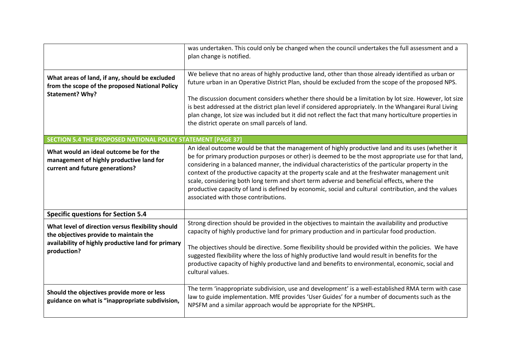|                                                                                                                                                                                                               | was undertaken. This could only be changed when the council undertakes the full assessment and a<br>plan change is notified.                                                                                                                                                                                                                                                                                                                                                                                                                                                                                                                                                                   |
|---------------------------------------------------------------------------------------------------------------------------------------------------------------------------------------------------------------|------------------------------------------------------------------------------------------------------------------------------------------------------------------------------------------------------------------------------------------------------------------------------------------------------------------------------------------------------------------------------------------------------------------------------------------------------------------------------------------------------------------------------------------------------------------------------------------------------------------------------------------------------------------------------------------------|
| What areas of land, if any, should be excluded<br>from the scope of the proposed National Policy<br>Statement? Why?<br>SECTION 5.4 THE PROPOSED NATIONAL POLICY STATEMENT [PAGE 37]                           | We believe that no areas of highly productive land, other than those already identified as urban or<br>future urban in an Operative District Plan, should be excluded from the scope of the proposed NPS.<br>The discussion document considers whether there should be a limitation by lot size. However, lot size<br>is best addressed at the district plan level if considered appropriately. In the Whangarei Rural Living<br>plan change, lot size was included but it did not reflect the fact that many horticulture properties in<br>the district operate on small parcels of land.<br>An ideal outcome would be that the management of highly productive land and its uses (whether it |
| What would an ideal outcome be for the<br>management of highly productive land for<br>current and future generations?                                                                                         | be for primary production purposes or other) is deemed to be the most appropriate use for that land,<br>considering in a balanced manner, the individual characteristics of the particular property in the<br>context of the productive capacity at the property scale and at the freshwater management unit<br>scale, considering both long term and short term adverse and beneficial effects, where the<br>productive capacity of land is defined by economic, social and cultural contribution, and the values<br>associated with those contributions.                                                                                                                                     |
| <b>Specific questions for Section 5.4</b><br>What level of direction versus flexibility should<br>the objectives provide to maintain the<br>availability of highly productive land for primary<br>production? | Strong direction should be provided in the objectives to maintain the availability and productive<br>capacity of highly productive land for primary production and in particular food production.<br>The objectives should be directive. Some flexibility should be provided within the policies. We have<br>suggested flexibility where the loss of highly productive land would result in benefits for the<br>productive capacity of highly productive land and benefits to environmental, economic, social and<br>cultural values.                                                                                                                                                          |
| Should the objectives provide more or less<br>guidance on what is "inappropriate subdivision,                                                                                                                 | The term 'inappropriate subdivision, use and development' is a well-established RMA term with case<br>law to guide implementation. MfE provides 'User Guides' for a number of documents such as the<br>NPSFM and a similar approach would be appropriate for the NPSHPL.                                                                                                                                                                                                                                                                                                                                                                                                                       |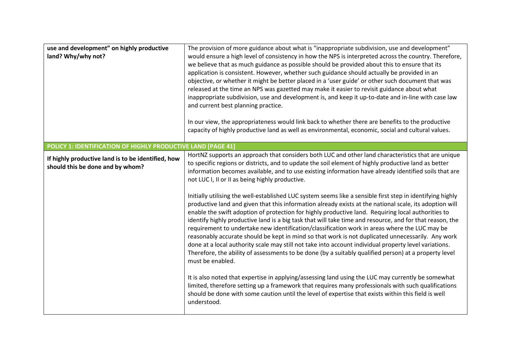| use and development" on highly productive<br>land? Why/why not?                        | The provision of more guidance about what is "inappropriate subdivision, use and development"<br>would ensure a high level of consistency in how the NPS is interpreted across the country. Therefore,<br>we believe that as much guidance as possible should be provided about this to ensure that its<br>application is consistent. However, whether such guidance should actually be provided in an<br>objective, or whether it might be better placed in a 'user guide' or other such document that was<br>released at the time an NPS was gazetted may make it easier to revisit guidance about what<br>inappropriate subdivision, use and development is, and keep it up-to-date and in-line with case law<br>and current best planning practice.<br>In our view, the appropriateness would link back to whether there are benefits to the productive<br>capacity of highly productive land as well as environmental, economic, social and cultural values.                         |
|----------------------------------------------------------------------------------------|-------------------------------------------------------------------------------------------------------------------------------------------------------------------------------------------------------------------------------------------------------------------------------------------------------------------------------------------------------------------------------------------------------------------------------------------------------------------------------------------------------------------------------------------------------------------------------------------------------------------------------------------------------------------------------------------------------------------------------------------------------------------------------------------------------------------------------------------------------------------------------------------------------------------------------------------------------------------------------------------|
| POLICY 1: IDENTIFICATION OF HIGHLY PRODUCTIVE LAND [PAGE 41]                           |                                                                                                                                                                                                                                                                                                                                                                                                                                                                                                                                                                                                                                                                                                                                                                                                                                                                                                                                                                                           |
| If highly productive land is to be identified, how<br>should this be done and by whom? | HortNZ supports an approach that considers both LUC and other land characteristics that are unique<br>to specific regions or districts, and to update the soil element of highly productive land as better<br>information becomes available, and to use existing information have already identified soils that are<br>not LUC I, II or II as being highly productive.                                                                                                                                                                                                                                                                                                                                                                                                                                                                                                                                                                                                                    |
|                                                                                        | Initially utilising the well-established LUC system seems like a sensible first step in identifying highly<br>productive land and given that this information already exists at the national scale, its adoption will<br>enable the swift adoption of protection for highly productive land. Requiring local authorities to<br>identify highly productive land is a big task that will take time and resource, and for that reason, the<br>requirement to undertake new identification/classification work in areas where the LUC may be<br>reasonably accurate should be kept in mind so that work is not duplicated unnecessarily. Any work<br>done at a local authority scale may still not take into account individual property level variations.<br>Therefore, the ability of assessments to be done (by a suitably qualified person) at a property level<br>must be enabled.<br>It is also noted that expertise in applying/assessing land using the LUC may currently be somewhat |
|                                                                                        | limited, therefore setting up a framework that requires many professionals with such qualifications<br>should be done with some caution until the level of expertise that exists within this field is well<br>understood.                                                                                                                                                                                                                                                                                                                                                                                                                                                                                                                                                                                                                                                                                                                                                                 |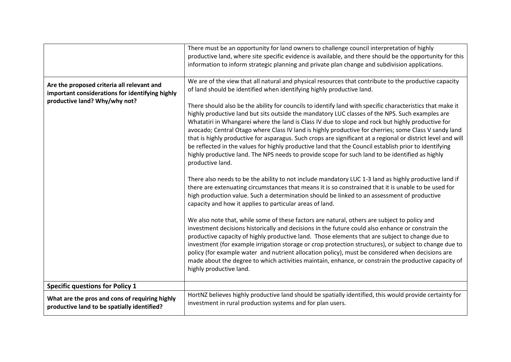|                                                                                                                                | There must be an opportunity for land owners to challenge council interpretation of highly<br>productive land, where site specific evidence is available, and there should be the opportunity for this<br>information to inform strategic planning and private plan change and subdivision applications.                                                                                                                                                                                                                                                                                                                                                                                                                                                                                                                                                                                                                                                                                                                                                                                                                                                                                                                                                                                                                                                                                                                                                                                                                                                                                                                                                                                                                                                                                                                                                                                                                                                                                          |
|--------------------------------------------------------------------------------------------------------------------------------|---------------------------------------------------------------------------------------------------------------------------------------------------------------------------------------------------------------------------------------------------------------------------------------------------------------------------------------------------------------------------------------------------------------------------------------------------------------------------------------------------------------------------------------------------------------------------------------------------------------------------------------------------------------------------------------------------------------------------------------------------------------------------------------------------------------------------------------------------------------------------------------------------------------------------------------------------------------------------------------------------------------------------------------------------------------------------------------------------------------------------------------------------------------------------------------------------------------------------------------------------------------------------------------------------------------------------------------------------------------------------------------------------------------------------------------------------------------------------------------------------------------------------------------------------------------------------------------------------------------------------------------------------------------------------------------------------------------------------------------------------------------------------------------------------------------------------------------------------------------------------------------------------------------------------------------------------------------------------------------------------|
| Are the proposed criteria all relevant and<br>important considerations for identifying highly<br>productive land? Why/why not? | We are of the view that all natural and physical resources that contribute to the productive capacity<br>of land should be identified when identifying highly productive land.<br>There should also be the ability for councils to identify land with specific characteristics that make it<br>highly productive land but sits outside the mandatory LUC classes of the NPS. Such examples are<br>Whatatiri in Whangarei where the land is Class IV due to slope and rock but highly productive for<br>avocado; Central Otago where Class IV land is highly productive for cherries; some Class V sandy land<br>that is highly productive for asparagus. Such crops are significant at a regional or district level and will<br>be reflected in the values for highly productive land that the Council establish prior to identifying<br>highly productive land. The NPS needs to provide scope for such land to be identified as highly<br>productive land.<br>There also needs to be the ability to not include mandatory LUC 1-3 land as highly productive land if<br>there are extenuating circumstances that means it is so constrained that it is unable to be used for<br>high production value. Such a determination should be linked to an assessment of productive<br>capacity and how it applies to particular areas of land.<br>We also note that, while some of these factors are natural, others are subject to policy and<br>investment decisions historically and decisions in the future could also enhance or constrain the<br>productive capacity of highly productive land. Those elements that are subject to change due to<br>investment (for example irrigation storage or crop protection structures), or subject to change due to<br>policy (for example water and nutrient allocation policy), must be considered when decisions are<br>made about the degree to which activities maintain, enhance, or constrain the productive capacity of<br>highly productive land. |
| <b>Specific questions for Policy 1</b>                                                                                         |                                                                                                                                                                                                                                                                                                                                                                                                                                                                                                                                                                                                                                                                                                                                                                                                                                                                                                                                                                                                                                                                                                                                                                                                                                                                                                                                                                                                                                                                                                                                                                                                                                                                                                                                                                                                                                                                                                                                                                                                   |
| What are the pros and cons of requiring highly<br>productive land to be spatially identified?                                  | HortNZ believes highly productive land should be spatially identified, this would provide certainty for<br>investment in rural production systems and for plan users.                                                                                                                                                                                                                                                                                                                                                                                                                                                                                                                                                                                                                                                                                                                                                                                                                                                                                                                                                                                                                                                                                                                                                                                                                                                                                                                                                                                                                                                                                                                                                                                                                                                                                                                                                                                                                             |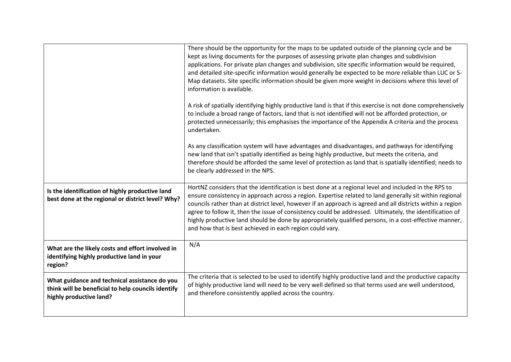|                                                                                                                                | There should be the opportunity for the maps to be updated outside of the planning cycle and be<br>kept as living documents for the purposes of assessing private plan changes and subdivision<br>applications. For private plan changes and subdivision, site specific information would be required,<br>and detailed site-specific information would generally be expected to be more reliable than LUC or S-<br>Map datasets. Site specific information should be given more weight in decisions where this level of<br>information is available.                                                          |
|--------------------------------------------------------------------------------------------------------------------------------|---------------------------------------------------------------------------------------------------------------------------------------------------------------------------------------------------------------------------------------------------------------------------------------------------------------------------------------------------------------------------------------------------------------------------------------------------------------------------------------------------------------------------------------------------------------------------------------------------------------|
|                                                                                                                                | A risk of spatially identifying highly productive land is that if this exercise is not done comprehensively<br>to include a broad range of factors, land that is not identified will not be afforded protection, or<br>protected unnecessarily; this emphasises the importance of the Appendix A criteria and the process<br>undertaken.                                                                                                                                                                                                                                                                      |
|                                                                                                                                | As any classification system will have advantages and disadvantages, and pathways for identifying<br>new land that isn't spatially identified as being highly productive, but meets the criteria, and<br>therefore should be afforded the same level of protection as land that is spatially identified; needs to<br>be clearly addressed in the NPS.                                                                                                                                                                                                                                                         |
| Is the identification of highly productive land<br>best done at the regional or district level? Why?                           | HortNZ considers that the identification is best done at a regional level and included in the RPS to<br>ensure consistency in approach across a region. Expertise related to land generally sit within regional<br>councils rather than at district level, however if an approach is agreed and all districts within a region<br>agree to follow it, then the issue of consistency could be addressed. Ultimately, the identification of<br>highly productive land should be done by appropriately qualified persons, in a cost-effective manner,<br>and how that is best achieved in each region could vary. |
| What are the likely costs and effort involved in<br>identifying highly productive land in your<br>region?                      | N/A                                                                                                                                                                                                                                                                                                                                                                                                                                                                                                                                                                                                           |
| What guidance and technical assistance do you<br>think will be beneficial to help councils identify<br>highly productive land? | The criteria that is selected to be used to identify highly productive land and the productive capacity<br>of highly productive land will need to be very well defined so that terms used are well understood,<br>and therefore consistently applied across the country.                                                                                                                                                                                                                                                                                                                                      |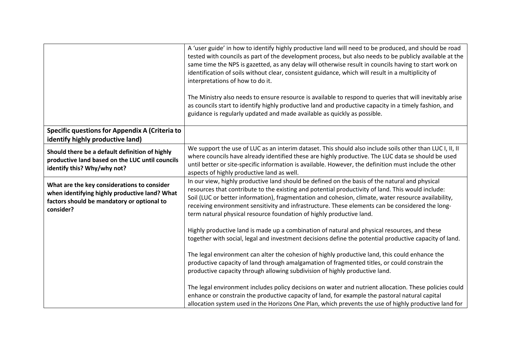|                                                                                                                                                         | A 'user guide' in how to identify highly productive land will need to be produced, and should be road<br>tested with councils as part of the development process, but also needs to be publicly available at the<br>same time the NPS is gazetted, as any delay will otherwise result in councils having to start work on<br>identification of soils without clear, consistent guidance, which will result in a multiplicity of<br>interpretations of how to do it.<br>The Ministry also needs to ensure resource is available to respond to queries that will inevitably arise<br>as councils start to identify highly productive land and productive capacity in a timely fashion, and<br>guidance is regularly updated and made available as quickly as possible. |
|---------------------------------------------------------------------------------------------------------------------------------------------------------|----------------------------------------------------------------------------------------------------------------------------------------------------------------------------------------------------------------------------------------------------------------------------------------------------------------------------------------------------------------------------------------------------------------------------------------------------------------------------------------------------------------------------------------------------------------------------------------------------------------------------------------------------------------------------------------------------------------------------------------------------------------------|
| Specific questions for Appendix A (Criteria to<br>identify highly productive land)                                                                      |                                                                                                                                                                                                                                                                                                                                                                                                                                                                                                                                                                                                                                                                                                                                                                      |
| Should there be a default definition of highly<br>productive land based on the LUC until councils<br>identify this? Why/why not?                        | We support the use of LUC as an interim dataset. This should also include soils other than LUC I, II, II<br>where councils have already identified these are highly productive. The LUC data se should be used<br>until better or site-specific information is available. However, the definition must include the other<br>aspects of highly productive land as well.                                                                                                                                                                                                                                                                                                                                                                                               |
| What are the key considerations to consider<br>when identifying highly productive land? What<br>factors should be mandatory or optional to<br>consider? | In our view, highly productive land should be defined on the basis of the natural and physical<br>resources that contribute to the existing and potential productivity of land. This would include:<br>Soil (LUC or better information), fragmentation and cohesion, climate, water resource availability,<br>receiving environment sensitivity and infrastructure. These elements can be considered the long-<br>term natural physical resource foundation of highly productive land.                                                                                                                                                                                                                                                                               |
|                                                                                                                                                         | Highly productive land is made up a combination of natural and physical resources, and these<br>together with social, legal and investment decisions define the potential productive capacity of land.                                                                                                                                                                                                                                                                                                                                                                                                                                                                                                                                                               |
|                                                                                                                                                         | The legal environment can alter the cohesion of highly productive land, this could enhance the<br>productive capacity of land through amalgamation of fragmented titles, or could constrain the<br>productive capacity through allowing subdivision of highly productive land.                                                                                                                                                                                                                                                                                                                                                                                                                                                                                       |
|                                                                                                                                                         | The legal environment includes policy decisions on water and nutrient allocation. These policies could<br>enhance or constrain the productive capacity of land, for example the pastoral natural capital<br>allocation system used in the Horizons One Plan, which prevents the use of highly productive land for                                                                                                                                                                                                                                                                                                                                                                                                                                                    |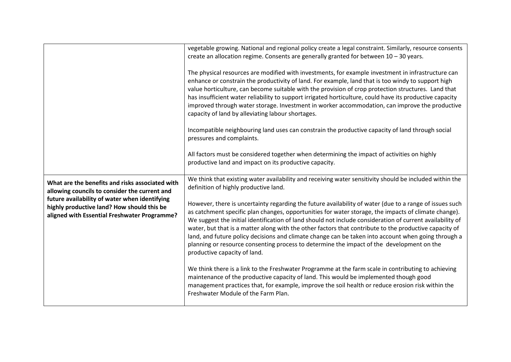|                                                                                                                                                                                                                                                 | vegetable growing. National and regional policy create a legal constraint. Similarly, resource consents<br>create an allocation regime. Consents are generally granted for between $10 - 30$ years.<br>The physical resources are modified with investments, for example investment in infrastructure can<br>enhance or constrain the productivity of land. For example, land that is too windy to support high<br>value horticulture, can become suitable with the provision of crop protection structures. Land that<br>has insufficient water reliability to support irrigated horticulture, could have its productive capacity<br>improved through water storage. Investment in worker accommodation, can improve the productive<br>capacity of land by alleviating labour shortages.<br>Incompatible neighbouring land uses can constrain the productive capacity of land through social<br>pressures and complaints.<br>All factors must be considered together when determining the impact of activities on highly<br>productive land and impact on its productive capacity.                                                                                        |
|-------------------------------------------------------------------------------------------------------------------------------------------------------------------------------------------------------------------------------------------------|----------------------------------------------------------------------------------------------------------------------------------------------------------------------------------------------------------------------------------------------------------------------------------------------------------------------------------------------------------------------------------------------------------------------------------------------------------------------------------------------------------------------------------------------------------------------------------------------------------------------------------------------------------------------------------------------------------------------------------------------------------------------------------------------------------------------------------------------------------------------------------------------------------------------------------------------------------------------------------------------------------------------------------------------------------------------------------------------------------------------------------------------------------------------------|
| What are the benefits and risks associated with<br>allowing councils to consider the current and<br>future availability of water when identifying<br>highly productive land? How should this be<br>aligned with Essential Freshwater Programme? | We think that existing water availability and receiving water sensitivity should be included within the<br>definition of highly productive land.<br>However, there is uncertainty regarding the future availability of water (due to a range of issues such<br>as catchment specific plan changes, opportunities for water storage, the impacts of climate change).<br>We suggest the initial identification of land should not include consideration of current availability of<br>water, but that is a matter along with the other factors that contribute to the productive capacity of<br>land, and future policy decisions and climate change can be taken into account when going through a<br>planning or resource consenting process to determine the impact of the development on the<br>productive capacity of land.<br>We think there is a link to the Freshwater Programme at the farm scale in contributing to achieving<br>maintenance of the productive capacity of land. This would be implemented though good<br>management practices that, for example, improve the soil health or reduce erosion risk within the<br>Freshwater Module of the Farm Plan. |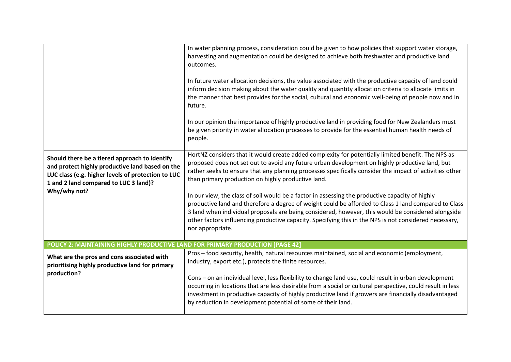|                                                                                                                                                                                                                 | In water planning process, consideration could be given to how policies that support water storage,<br>harvesting and augmentation could be designed to achieve both freshwater and productive land<br>outcomes.<br>In future water allocation decisions, the value associated with the productive capacity of land could<br>inform decision making about the water quality and quantity allocation criteria to allocate limits in<br>the manner that best provides for the social, cultural and economic well-being of people now and in<br>future.<br>In our opinion the importance of highly productive land in providing food for New Zealanders must<br>be given priority in water allocation processes to provide for the essential human health needs of<br>people.                                           |
|-----------------------------------------------------------------------------------------------------------------------------------------------------------------------------------------------------------------|----------------------------------------------------------------------------------------------------------------------------------------------------------------------------------------------------------------------------------------------------------------------------------------------------------------------------------------------------------------------------------------------------------------------------------------------------------------------------------------------------------------------------------------------------------------------------------------------------------------------------------------------------------------------------------------------------------------------------------------------------------------------------------------------------------------------|
| Should there be a tiered approach to identify<br>and protect highly productive land based on the<br>LUC class (e.g. higher levels of protection to LUC<br>1 and 2 land compared to LUC 3 land)?<br>Why/why not? | HortNZ considers that it would create added complexity for potentially limited benefit. The NPS as<br>proposed does not set out to avoid any future urban development on highly productive land, but<br>rather seeks to ensure that any planning processes specifically consider the impact of activities other<br>than primary production on highly productive land.<br>In our view, the class of soil would be a factor in assessing the productive capacity of highly<br>productive land and therefore a degree of weight could be afforded to Class 1 land compared to Class<br>3 land when individual proposals are being considered, however, this would be considered alongside<br>other factors influencing productive capacity. Specifying this in the NPS is not considered necessary,<br>nor appropriate. |
| POLICY 2: MAINTAINING HIGHLY PRODUCTIVE LAND FOR PRIMARY PRODUCTION [PAGE 42]                                                                                                                                   |                                                                                                                                                                                                                                                                                                                                                                                                                                                                                                                                                                                                                                                                                                                                                                                                                      |
| What are the pros and cons associated with<br>prioritising highly productive land for primary<br>production?                                                                                                    | Pros - food security, health, natural resources maintained, social and economic (employment,<br>industry, export etc.), protects the finite resources.<br>Cons - on an individual level, less flexibility to change land use, could result in urban development<br>occurring in locations that are less desirable from a social or cultural perspective, could result in less<br>investment in productive capacity of highly productive land if growers are financially disadvantaged<br>by reduction in development potential of some of their land.                                                                                                                                                                                                                                                                |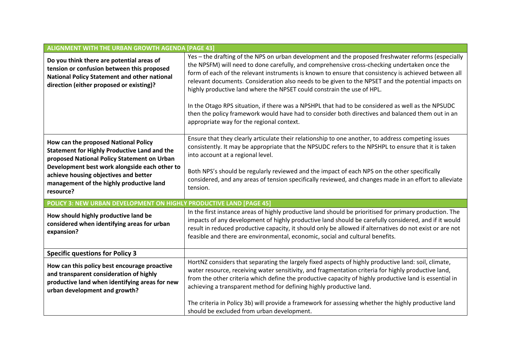| <b>ALIGNMENT WITH THE URBAN GROWTH AGENDA [PAGE 43]</b>                                                                                                                                                                                                                                       |                                                                                                                                                                                                                                                                                                                                                                                                                                                                                                                                                                                                                                                                                                                                                  |
|-----------------------------------------------------------------------------------------------------------------------------------------------------------------------------------------------------------------------------------------------------------------------------------------------|--------------------------------------------------------------------------------------------------------------------------------------------------------------------------------------------------------------------------------------------------------------------------------------------------------------------------------------------------------------------------------------------------------------------------------------------------------------------------------------------------------------------------------------------------------------------------------------------------------------------------------------------------------------------------------------------------------------------------------------------------|
| Do you think there are potential areas of<br>tension or confusion between this proposed<br>National Policy Statement and other national<br>direction (either proposed or existing)?                                                                                                           | Yes - the drafting of the NPS on urban development and the proposed freshwater reforms (especially<br>the NPSFM) will need to done carefully, and comprehensive cross-checking undertaken once the<br>form of each of the relevant instruments is known to ensure that consistency is achieved between all<br>relevant documents. Consideration also needs to be given to the NPSET and the potential impacts on<br>highly productive land where the NPSET could constrain the use of HPL.<br>In the Otago RPS situation, if there was a NPSHPL that had to be considered as well as the NPSUDC<br>then the policy framework would have had to consider both directives and balanced them out in an<br>appropriate way for the regional context. |
| How can the proposed National Policy<br><b>Statement for Highly Productive Land and the</b><br>proposed National Policy Statement on Urban<br>Development best work alongside each other to<br>achieve housing objectives and better<br>management of the highly productive land<br>resource? | Ensure that they clearly articulate their relationship to one another, to address competing issues<br>consistently. It may be appropriate that the NPSUDC refers to the NPSHPL to ensure that it is taken<br>into account at a regional level.<br>Both NPS's should be regularly reviewed and the impact of each NPS on the other specifically<br>considered, and any areas of tension specifically reviewed, and changes made in an effort to alleviate<br>tension.                                                                                                                                                                                                                                                                             |
| POLICY 3: NEW URBAN DEVELOPMENT ON HIGHLY PRODUCTIVE LAND [PAGE 45]                                                                                                                                                                                                                           |                                                                                                                                                                                                                                                                                                                                                                                                                                                                                                                                                                                                                                                                                                                                                  |
| How should highly productive land be<br>considered when identifying areas for urban<br>expansion?                                                                                                                                                                                             | In the first instance areas of highly productive land should be prioritised for primary production. The<br>impacts of any development of highly productive land should be carefully considered, and if it would<br>result in reduced productive capacity, it should only be allowed if alternatives do not exist or are not<br>feasible and there are environmental, economic, social and cultural benefits.                                                                                                                                                                                                                                                                                                                                     |
| <b>Specific questions for Policy 3</b>                                                                                                                                                                                                                                                        |                                                                                                                                                                                                                                                                                                                                                                                                                                                                                                                                                                                                                                                                                                                                                  |
| How can this policy best encourage proactive<br>and transparent consideration of highly<br>productive land when identifying areas for new<br>urban development and growth?                                                                                                                    | HortNZ considers that separating the largely fixed aspects of highly productive land: soil, climate,<br>water resource, receiving water sensitivity, and fragmentation criteria for highly productive land,<br>from the other criteria which define the productive capacity of highly productive land is essential in<br>achieving a transparent method for defining highly productive land.                                                                                                                                                                                                                                                                                                                                                     |
|                                                                                                                                                                                                                                                                                               | The criteria in Policy 3b) will provide a framework for assessing whether the highly productive land<br>should be excluded from urban development.                                                                                                                                                                                                                                                                                                                                                                                                                                                                                                                                                                                               |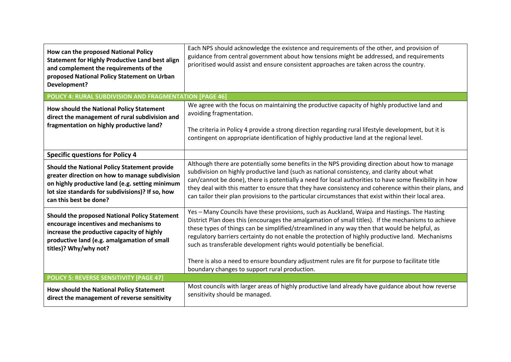| How can the proposed National Policy<br><b>Statement for Highly Productive Land best align</b><br>and complement the requirements of the<br>proposed National Policy Statement on Urban<br>Development?                         | Each NPS should acknowledge the existence and requirements of the other, and provision of<br>guidance from central government about how tensions might be addressed, and requirements<br>prioritised would assist and ensure consistent approaches are taken across the country.                                                                                                                                                                                                                                          |
|---------------------------------------------------------------------------------------------------------------------------------------------------------------------------------------------------------------------------------|---------------------------------------------------------------------------------------------------------------------------------------------------------------------------------------------------------------------------------------------------------------------------------------------------------------------------------------------------------------------------------------------------------------------------------------------------------------------------------------------------------------------------|
| POLICY 4: RURAL SUBDIVISION AND FRAGMENTATION [PAGE 46]                                                                                                                                                                         |                                                                                                                                                                                                                                                                                                                                                                                                                                                                                                                           |
| How should the National Policy Statement<br>direct the management of rural subdivision and                                                                                                                                      | We agree with the focus on maintaining the productive capacity of highly productive land and<br>avoiding fragmentation.                                                                                                                                                                                                                                                                                                                                                                                                   |
| fragmentation on highly productive land?                                                                                                                                                                                        | The criteria in Policy 4 provide a strong direction regarding rural lifestyle development, but it is<br>contingent on appropriate identification of highly productive land at the regional level.                                                                                                                                                                                                                                                                                                                         |
| <b>Specific questions for Policy 4</b>                                                                                                                                                                                          |                                                                                                                                                                                                                                                                                                                                                                                                                                                                                                                           |
| Should the National Policy Statement provide<br>greater direction on how to manage subdivision<br>on highly productive land (e.g. setting minimum<br>lot size standards for subdivisions)? If so, how<br>can this best be done? | Although there are potentially some benefits in the NPS providing direction about how to manage<br>subdivision on highly productive land (such as national consistency, and clarity about what<br>can/cannot be done), there is potentially a need for local authorities to have some flexibility in how<br>they deal with this matter to ensure that they have consistency and coherence within their plans, and<br>can tailor their plan provisions to the particular circumstances that exist within their local area. |
| <b>Should the proposed National Policy Statement</b><br>encourage incentives and mechanisms to<br>increase the productive capacity of highly<br>productive land (e.g. amalgamation of small<br>titles)? Why/why not?            | Yes - Many Councils have these provisions, such as Auckland, Waipa and Hastings. The Hasting<br>District Plan does this (encourages the amalgamation of small titles). If the mechanisms to achieve<br>these types of things can be simplified/streamlined in any way then that would be helpful, as<br>regulatory barriers certainty do not enable the protection of highly productive land. Mechanisms<br>such as transferable development rights would potentially be beneficial.                                      |
|                                                                                                                                                                                                                                 | There is also a need to ensure boundary adjustment rules are fit for purpose to facilitate title<br>boundary changes to support rural production.                                                                                                                                                                                                                                                                                                                                                                         |
| <b>POLICY 5: REVERSE SENSITIVITY [PAGE 47]</b>                                                                                                                                                                                  |                                                                                                                                                                                                                                                                                                                                                                                                                                                                                                                           |
| How should the National Policy Statement<br>direct the management of reverse sensitivity                                                                                                                                        | Most councils with larger areas of highly productive land already have guidance about how reverse<br>sensitivity should be managed.                                                                                                                                                                                                                                                                                                                                                                                       |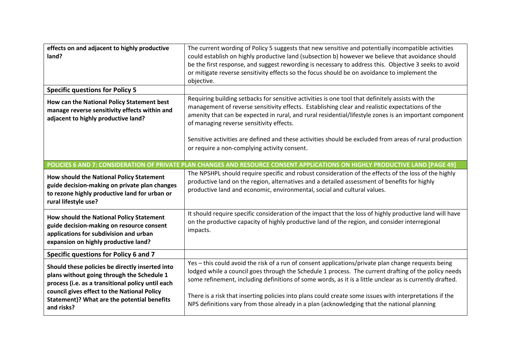| effects on and adjacent to highly productive<br>land?                                                                                                                                                                                                          | The current wording of Policy 5 suggests that new sensitive and potentially incompatible activities<br>could establish on highly productive land (subsection b) however we believe that avoidance should<br>be the first response, and suggest rewording is necessary to address this. Objective 3 seeks to avoid<br>or mitigate reverse sensitivity effects so the focus should be on avoidance to implement the<br>objective.                                                                                                   |
|----------------------------------------------------------------------------------------------------------------------------------------------------------------------------------------------------------------------------------------------------------------|-----------------------------------------------------------------------------------------------------------------------------------------------------------------------------------------------------------------------------------------------------------------------------------------------------------------------------------------------------------------------------------------------------------------------------------------------------------------------------------------------------------------------------------|
| <b>Specific questions for Policy 5</b>                                                                                                                                                                                                                         |                                                                                                                                                                                                                                                                                                                                                                                                                                                                                                                                   |
| How can the National Policy Statement best<br>manage reverse sensitivity effects within and<br>adjacent to highly productive land?                                                                                                                             | Requiring building setbacks for sensitive activities is one tool that definitely assists with the<br>management of reverse sensitivity effects. Establishing clear and realistic expectations of the<br>amenity that can be expected in rural, and rural residential/lifestyle zones is an important component<br>of managing reverse sensitivity effects.                                                                                                                                                                        |
|                                                                                                                                                                                                                                                                | Sensitive activities are defined and these activities should be excluded from areas of rural production<br>or require a non-complying activity consent.                                                                                                                                                                                                                                                                                                                                                                           |
|                                                                                                                                                                                                                                                                | POLICIES 6 AND 7: CONSIDERATION OF PRIVATE PLAN CHANGES AND RESOURCE CONSENT APPLICATIONS ON HIGHLY PRODUCTIVE LAND [PAGE 49]                                                                                                                                                                                                                                                                                                                                                                                                     |
| How should the National Policy Statement<br>guide decision-making on private plan changes<br>to rezone highly productive land for urban or<br>rural lifestyle use?                                                                                             | The NPSHPL should require specific and robust consideration of the effects of the loss of the highly<br>productive land on the region, alternatives and a detailed assessment of benefits for highly<br>productive land and economic, environmental, social and cultural values.                                                                                                                                                                                                                                                  |
| How should the National Policy Statement<br>guide decision-making on resource consent<br>applications for subdivision and urban<br>expansion on highly productive land?                                                                                        | It should require specific consideration of the impact that the loss of highly productive land will have<br>on the productive capacity of highly productive land of the region, and consider interregional<br>impacts.                                                                                                                                                                                                                                                                                                            |
| Specific questions for Policy 6 and 7                                                                                                                                                                                                                          |                                                                                                                                                                                                                                                                                                                                                                                                                                                                                                                                   |
| Should these policies be directly inserted into<br>plans without going through the Schedule 1<br>process (i.e. as a transitional policy until each<br>council gives effect to the National Policy<br>Statement)? What are the potential benefits<br>and risks? | Yes - this could avoid the risk of a run of consent applications/private plan change requests being<br>lodged while a council goes through the Schedule 1 process. The current drafting of the policy needs<br>some refinement, including definitions of some words, as it is a little unclear as is currently drafted.<br>There is a risk that inserting policies into plans could create some issues with interpretations if the<br>NPS definitions vary from those already in a plan (acknowledging that the national planning |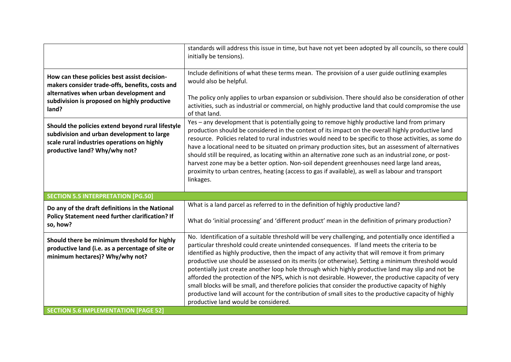|                                                                                                                                                                                                     | standards will address this issue in time, but have not yet been adopted by all councils, so there could<br>initially be tensions).                                                                                                                                                                                                                                                                                                                                                                                                                                                                                                                                                                                                                                                                                                                                                  |
|-----------------------------------------------------------------------------------------------------------------------------------------------------------------------------------------------------|--------------------------------------------------------------------------------------------------------------------------------------------------------------------------------------------------------------------------------------------------------------------------------------------------------------------------------------------------------------------------------------------------------------------------------------------------------------------------------------------------------------------------------------------------------------------------------------------------------------------------------------------------------------------------------------------------------------------------------------------------------------------------------------------------------------------------------------------------------------------------------------|
| How can these policies best assist decision-<br>makers consider trade-offs, benefits, costs and<br>alternatives when urban development and<br>subdivision is proposed on highly productive<br>land? | Include definitions of what these terms mean. The provision of a user guide outlining examples<br>would also be helpful.<br>The policy only applies to urban expansion or subdivision. There should also be consideration of other<br>activities, such as industrial or commercial, on highly productive land that could compromise the use<br>of that land.                                                                                                                                                                                                                                                                                                                                                                                                                                                                                                                         |
| Should the policies extend beyond rural lifestyle<br>subdivision and urban development to large<br>scale rural industries operations on highly<br>productive land? Why/why not?                     | Yes - any development that is potentially going to remove highly productive land from primary<br>production should be considered in the context of its impact on the overall highly productive land<br>resource. Policies related to rural industries would need to be specific to those activities, as some do<br>have a locational need to be situated on primary production sites, but an assessment of alternatives<br>should still be required, as locating within an alternative zone such as an industrial zone, or post-<br>harvest zone may be a better option. Non-soil dependent greenhouses need large land areas,<br>proximity to urban centres, heating (access to gas if available), as well as labour and transport<br>linkages.                                                                                                                                     |
| <b>SECTION 5.5 INTERPRETATION [PG.50]</b>                                                                                                                                                           |                                                                                                                                                                                                                                                                                                                                                                                                                                                                                                                                                                                                                                                                                                                                                                                                                                                                                      |
| Do any of the draft definitions in the National<br>Policy Statement need further clarification? If<br>so, how?                                                                                      | What is a land parcel as referred to in the definition of highly productive land?<br>What do 'initial processing' and 'different product' mean in the definition of primary production?                                                                                                                                                                                                                                                                                                                                                                                                                                                                                                                                                                                                                                                                                              |
| Should there be minimum threshold for highly<br>productive land (i.e. as a percentage of site or<br>minimum hectares)? Why/why not?                                                                 | No. Identification of a suitable threshold will be very challenging, and potentially once identified a<br>particular threshold could create unintended consequences. If land meets the criteria to be<br>identified as highly productive, then the impact of any activity that will remove it from primary<br>productive use should be assessed on its merits (or otherwise). Setting a minimum threshold would<br>potentially just create another loop hole through which highly productive land may slip and not be<br>afforded the protection of the NPS, which is not desirable. However, the productive capacity of very<br>small blocks will be small, and therefore policies that consider the productive capacity of highly<br>productive land will account for the contribution of small sites to the productive capacity of highly<br>productive land would be considered. |
| <b>SECTION 5.6 IMPLEMENTATION [PAGE 52]</b>                                                                                                                                                         |                                                                                                                                                                                                                                                                                                                                                                                                                                                                                                                                                                                                                                                                                                                                                                                                                                                                                      |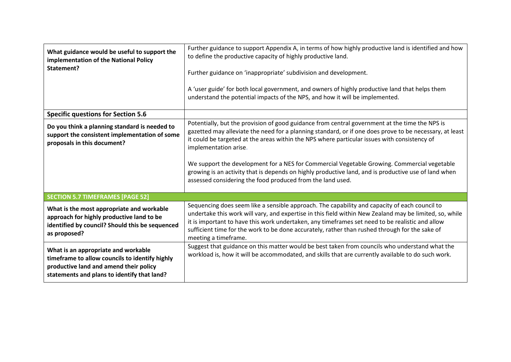| What guidance would be useful to support the<br>implementation of the National Policy<br>Statement?                                                                            | Further guidance to support Appendix A, in terms of how highly productive land is identified and how<br>to define the productive capacity of highly productive land.<br>Further guidance on 'inappropriate' subdivision and development.<br>A 'user guide' for both local government, and owners of highly productive land that helps them<br>understand the potential impacts of the NPS, and how it will be implemented.                                                                                                                                                                              |
|--------------------------------------------------------------------------------------------------------------------------------------------------------------------------------|---------------------------------------------------------------------------------------------------------------------------------------------------------------------------------------------------------------------------------------------------------------------------------------------------------------------------------------------------------------------------------------------------------------------------------------------------------------------------------------------------------------------------------------------------------------------------------------------------------|
| <b>Specific questions for Section 5.6</b>                                                                                                                                      |                                                                                                                                                                                                                                                                                                                                                                                                                                                                                                                                                                                                         |
| Do you think a planning standard is needed to<br>support the consistent implementation of some<br>proposals in this document?                                                  | Potentially, but the provision of good guidance from central government at the time the NPS is<br>gazetted may alleviate the need for a planning standard, or if one does prove to be necessary, at least<br>it could be targeted at the areas within the NPS where particular issues with consistency of<br>implementation arise.<br>We support the development for a NES for Commercial Vegetable Growing. Commercial vegetable<br>growing is an activity that is depends on highly productive land, and is productive use of land when<br>assessed considering the food produced from the land used. |
| <b>SECTION 5.7 TIMEFRAMES [PAGE 52]</b>                                                                                                                                        |                                                                                                                                                                                                                                                                                                                                                                                                                                                                                                                                                                                                         |
| What is the most appropriate and workable<br>approach for highly productive land to be<br>identified by council? Should this be sequenced<br>as proposed?                      | Sequencing does seem like a sensible approach. The capability and capacity of each council to<br>undertake this work will vary, and expertise in this field within New Zealand may be limited, so, while<br>it is important to have this work undertaken, any timeframes set need to be realistic and allow<br>sufficient time for the work to be done accurately, rather than rushed through for the sake of<br>meeting a timeframe.                                                                                                                                                                   |
| What is an appropriate and workable<br>timeframe to allow councils to identify highly<br>productive land and amend their policy<br>statements and plans to identify that land? | Suggest that guidance on this matter would be best taken from councils who understand what the<br>workload is, how it will be accommodated, and skills that are currently available to do such work.                                                                                                                                                                                                                                                                                                                                                                                                    |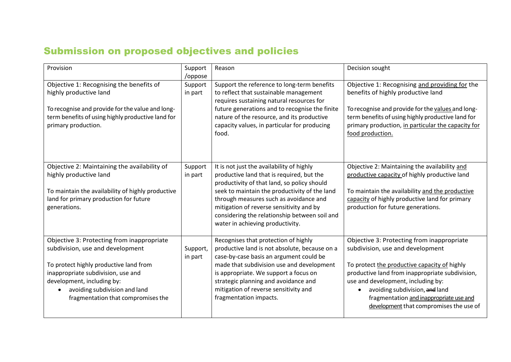# Submission on proposed objectives and policies

| Provision                                                                                                                                                                                                                                                           | Support<br>/oppose  | Reason                                                                                                                                                                                                                                                                                                                                                            | Decision sought                                                                                                                                                                                                                                                                                                                                 |
|---------------------------------------------------------------------------------------------------------------------------------------------------------------------------------------------------------------------------------------------------------------------|---------------------|-------------------------------------------------------------------------------------------------------------------------------------------------------------------------------------------------------------------------------------------------------------------------------------------------------------------------------------------------------------------|-------------------------------------------------------------------------------------------------------------------------------------------------------------------------------------------------------------------------------------------------------------------------------------------------------------------------------------------------|
| Objective 1: Recognising the benefits of<br>highly productive land<br>To recognise and provide for the value and long-<br>term benefits of using highly productive land for<br>primary production.                                                                  | Support<br>in part  | Support the reference to long-term benefits<br>to reflect that sustainable management<br>requires sustaining natural resources for<br>future generations and to recognise the finite<br>nature of the resource, and its productive<br>capacity values, in particular for producing<br>food.                                                                       | Objective 1: Recognising and providing for the<br>benefits of highly productive land<br>To recognise and provide for the values and long-<br>term benefits of using highly productive land for<br>primary production, in particular the capacity for<br>food production.                                                                        |
| Objective 2: Maintaining the availability of<br>highly productive land<br>To maintain the availability of highly productive<br>land for primary production for future<br>generations.                                                                               | Support<br>in part  | It is not just the availability of highly<br>productive land that is required, but the<br>productivity of that land, so policy should<br>seek to maintain the productivity of the land<br>through measures such as avoidance and<br>mitigation of reverse sensitivity and by<br>considering the relationship between soil and<br>water in achieving productivity. | Objective 2: Maintaining the availability and<br>productive capacity of highly productive land<br>To maintain the availability and the productive<br>capacity of highly productive land for primary<br>production for future generations.                                                                                                       |
| Objective 3: Protecting from inappropriate<br>subdivision, use and development<br>To protect highly productive land from<br>inappropriate subdivision, use and<br>development, including by:<br>avoiding subdivision and land<br>fragmentation that compromises the | Support,<br>in part | Recognises that protection of highly<br>productive land is not absolute, because on a<br>case-by-case basis an argument could be<br>made that subdivision use and development<br>is appropriate. We support a focus on<br>strategic planning and avoidance and<br>mitigation of reverse sensitivity and<br>fragmentation impacts.                                 | Objective 3: Protecting from inappropriate<br>subdivision, use and development<br>To protect the productive capacity of highly<br>productive land from inappropriate subdivision,<br>use and development, including by:<br>avoiding subdivision, and land<br>fragmentation and inappropriate use and<br>development that compromises the use of |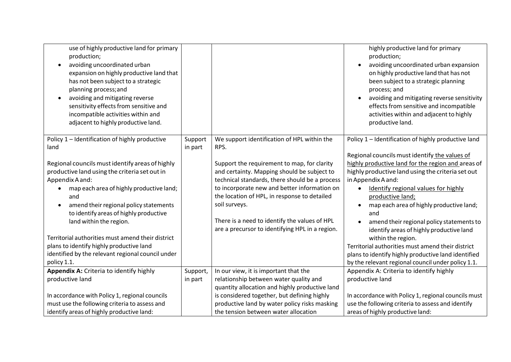| use of highly productive land for primary<br>production;<br>avoiding uncoordinated urban<br>expansion on highly productive land that<br>has not been subject to a strategic<br>planning process; and<br>avoiding and mitigating reverse<br>sensitivity effects from sensitive and<br>incompatible activities within and<br>adjacent to highly productive land. |                    |                                                                                                | highly productive land for primary<br>production;<br>avoiding uncoordinated urban expansion<br>on highly productive land that has not<br>been subject to a strategic planning<br>process; and<br>avoiding and mitigating reverse sensitivity<br>effects from sensitive and incompatible<br>activities within and adjacent to highly<br>productive land. |
|----------------------------------------------------------------------------------------------------------------------------------------------------------------------------------------------------------------------------------------------------------------------------------------------------------------------------------------------------------------|--------------------|------------------------------------------------------------------------------------------------|---------------------------------------------------------------------------------------------------------------------------------------------------------------------------------------------------------------------------------------------------------------------------------------------------------------------------------------------------------|
| Policy 1 - Identification of highly productive<br>land                                                                                                                                                                                                                                                                                                         | Support<br>in part | We support identification of HPL within the<br>RPS.                                            | Policy 1 - Identification of highly productive land<br>Regional councils must identify the values of                                                                                                                                                                                                                                                    |
| Regional councils must identify areas of highly                                                                                                                                                                                                                                                                                                                |                    | Support the requirement to map, for clarity                                                    | highly productive land for the region and areas of                                                                                                                                                                                                                                                                                                      |
| productive land using the criteria set out in                                                                                                                                                                                                                                                                                                                  |                    | and certainty. Mapping should be subject to                                                    | highly productive land using the criteria set out                                                                                                                                                                                                                                                                                                       |
| Appendix A and:<br>map each area of highly productive land;                                                                                                                                                                                                                                                                                                    |                    | technical standards, there should be a process<br>to incorporate new and better information on | in Appendix A and:<br>Identify regional values for highly                                                                                                                                                                                                                                                                                               |
| and                                                                                                                                                                                                                                                                                                                                                            |                    | the location of HPL, in response to detailed                                                   | productive land;                                                                                                                                                                                                                                                                                                                                        |
| amend their regional policy statements<br>$\bullet$<br>to identify areas of highly productive                                                                                                                                                                                                                                                                  |                    | soil surveys.                                                                                  | map each area of highly productive land;<br>and                                                                                                                                                                                                                                                                                                         |
| land within the region.                                                                                                                                                                                                                                                                                                                                        |                    | There is a need to identify the values of HPL                                                  | amend their regional policy statements to                                                                                                                                                                                                                                                                                                               |
|                                                                                                                                                                                                                                                                                                                                                                |                    | are a precursor to identifying HPL in a region.                                                | identify areas of highly productive land                                                                                                                                                                                                                                                                                                                |
| Territorial authorities must amend their district<br>plans to identify highly productive land                                                                                                                                                                                                                                                                  |                    |                                                                                                | within the region.<br>Territorial authorities must amend their district                                                                                                                                                                                                                                                                                 |
| identified by the relevant regional council under                                                                                                                                                                                                                                                                                                              |                    |                                                                                                | plans to identify highly productive land identified                                                                                                                                                                                                                                                                                                     |
| policy 1.1.                                                                                                                                                                                                                                                                                                                                                    |                    |                                                                                                | by the relevant regional council under policy 1.1.                                                                                                                                                                                                                                                                                                      |
| Appendix A: Criteria to identify highly                                                                                                                                                                                                                                                                                                                        | Support,           | In our view, it is important that the                                                          | Appendix A: Criteria to identify highly                                                                                                                                                                                                                                                                                                                 |
| productive land                                                                                                                                                                                                                                                                                                                                                | in part            | relationship between water quality and                                                         | productive land                                                                                                                                                                                                                                                                                                                                         |
|                                                                                                                                                                                                                                                                                                                                                                |                    | quantity allocation and highly productive land                                                 |                                                                                                                                                                                                                                                                                                                                                         |
| In accordance with Policy 1, regional councils                                                                                                                                                                                                                                                                                                                 |                    | is considered together, but defining highly                                                    | In accordance with Policy 1, regional councils must                                                                                                                                                                                                                                                                                                     |
| must use the following criteria to assess and                                                                                                                                                                                                                                                                                                                  |                    | productive land by water policy risks masking                                                  | use the following criteria to assess and identify                                                                                                                                                                                                                                                                                                       |
| identify areas of highly productive land:                                                                                                                                                                                                                                                                                                                      |                    | the tension between water allocation                                                           | areas of highly productive land:                                                                                                                                                                                                                                                                                                                        |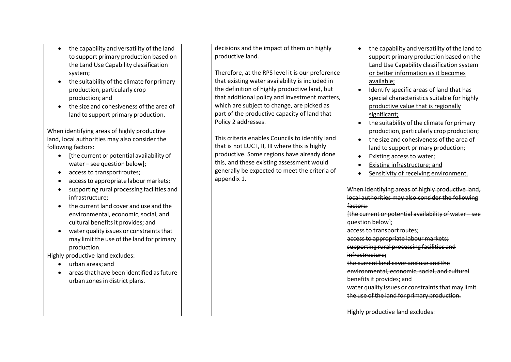- the capability and versatility of the land to support primary production based on the Land Use Capability classification system;
- $\bullet$  the suitability of the climate for primary production, particularly crop production; and
- $\bullet$  the size and cohesiveness of the area of land to support primary production.

When identifying areas of highly productive land, local authorities may also consider the following factors:

- [the current or potential availability of water – see question below];
- access to transportroutes;
- accessto appropriate labour markets;
- supporting rural processing facilities and infrastructure;
- the current land cover and use and the environmental, economic, social, and cultural benefits it provides; and
- $\bullet$  water quality issues or constraints that may limit the use ofthe land for primary production.

Highly productive land excludes:

- urban areas; and
- $\bullet$  areas that have been identified as future urban zonesin district plans.

decisions and the impact of them on highly productive land.

Therefore, at the RPS level it is our preference that existing water availability is included in the definition of highly productive land, but that additional policy and investment matters, which are subject to change, are picked as part of the productive capacity of land that Policy 2 addresses.

This criteria enables Councils to identify land that is not LUC I, II, III where this is highly productive. Some regions have already done this, and these existing assessment would generally be expected to meet the criteria of appendix 1.

- the capability and versatility of the land to support primary production based on the Land Use Capability classification system or better information as it becomes available;
- Identify specific areas of land that has special characteristics suitable for highly productive value that is regionally significant;
- $\bullet$  the suitability of the climate for primary production, particularly crop production;
- the size and cohesiveness of the area of land to support primary production;
- Existing access to water;
- Existing infrastructure; and
- Sensitivity of receiving environment.

When identifying areas of highly productive land, local authorities may also consider the following factors: [the current or potential availability ofwater – see question below]; access to transportroutes; accessto appropriate labour markets; supporting rural processing facilities and infrastructure; the currentland cover and use and the environmental, economic, social, and cultural benefitsit provides; and water quality issues or constraints that may limit the use of the land for primary production. Highly productive land excludes: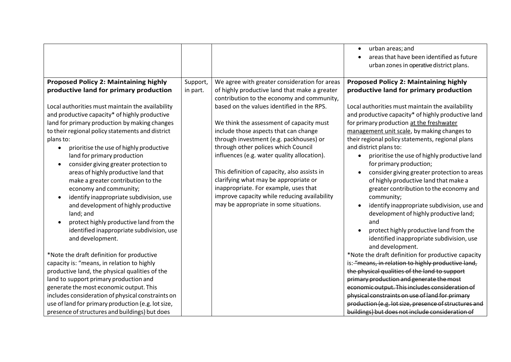|                                                                                                                                                                                                                                                                                                                                                                                                                                                                                                                                                                                                                                                                                                                                                                                                                                                                                                                                                                                                                                                                                                     |          |                                                                                                                                                                                                                                                                                                                                                                                                                                                                                                                                                                                             | urban areas; and<br>areas that have been identified as future<br>urban zones in operative district plans.                                                                                                                                                                                                                                                                                                                                                                                                                                                                                                                                                                                                                                                                                                                                                                                                                                                                                                                                                                                                                                                                                     |
|-----------------------------------------------------------------------------------------------------------------------------------------------------------------------------------------------------------------------------------------------------------------------------------------------------------------------------------------------------------------------------------------------------------------------------------------------------------------------------------------------------------------------------------------------------------------------------------------------------------------------------------------------------------------------------------------------------------------------------------------------------------------------------------------------------------------------------------------------------------------------------------------------------------------------------------------------------------------------------------------------------------------------------------------------------------------------------------------------------|----------|---------------------------------------------------------------------------------------------------------------------------------------------------------------------------------------------------------------------------------------------------------------------------------------------------------------------------------------------------------------------------------------------------------------------------------------------------------------------------------------------------------------------------------------------------------------------------------------------|-----------------------------------------------------------------------------------------------------------------------------------------------------------------------------------------------------------------------------------------------------------------------------------------------------------------------------------------------------------------------------------------------------------------------------------------------------------------------------------------------------------------------------------------------------------------------------------------------------------------------------------------------------------------------------------------------------------------------------------------------------------------------------------------------------------------------------------------------------------------------------------------------------------------------------------------------------------------------------------------------------------------------------------------------------------------------------------------------------------------------------------------------------------------------------------------------|
| <b>Proposed Policy 2: Maintaining highly</b>                                                                                                                                                                                                                                                                                                                                                                                                                                                                                                                                                                                                                                                                                                                                                                                                                                                                                                                                                                                                                                                        | Support, | We agree with greater consideration for areas                                                                                                                                                                                                                                                                                                                                                                                                                                                                                                                                               | <b>Proposed Policy 2: Maintaining highly</b>                                                                                                                                                                                                                                                                                                                                                                                                                                                                                                                                                                                                                                                                                                                                                                                                                                                                                                                                                                                                                                                                                                                                                  |
| productive land for primary production<br>Local authorities must maintain the availability<br>and productive capacity* of highly productive<br>land for primary production by making changes<br>to their regional policy statements and district<br>plans to:<br>prioritise the use of highly productive<br>land for primary production<br>consider giving greater protection to<br>areas of highly productive land that<br>make a greater contribution to the<br>economy and community;<br>identify inappropriate subdivision, use<br>and development of highly productive<br>land; and<br>protect highly productive land from the<br>identified inappropriate subdivision, use<br>and development.<br>*Note the draft definition for productive<br>capacity is: "means, in relation to highly<br>productive land, the physical qualities of the<br>land to support primary production and<br>generate the most economic output. This<br>includes consideration of physical constraints on<br>use of land for primary production (e.g. lot size,<br>presence of structures and buildings) but does | in part. | of highly productive land that make a greater<br>contribution to the economy and community,<br>based on the values identified in the RPS.<br>We think the assessment of capacity must<br>include those aspects that can change<br>through investment (e.g. packhouses) or<br>through other polices which Council<br>influences (e.g. water quality allocation).<br>This definition of capacity, also assists in<br>clarifying what may be appropriate or<br>inappropriate. For example, uses that<br>improve capacity while reducing availability<br>may be appropriate in some situations. | productive land for primary production<br>Local authorities must maintain the availability<br>and productive capacity* of highly productive land<br>for primary production at the freshwater<br>management unit scale, by making changes to<br>their regional policy statements, regional plans<br>and district plans to:<br>prioritise the use of highly productive land<br>for primary production;<br>consider giving greater protection to areas<br>of highly productive land that make a<br>greater contribution to the economy and<br>community;<br>identify inappropriate subdivision, use and<br>development of highly productive land;<br>and<br>protect highly productive land from the<br>identified inappropriate subdivision, use<br>and development.<br>*Note the draft definition for productive capacity<br>is: "means, in relation to highly productive land,<br>the physical qualities of the land to support<br>primary production and generate the most<br>economic output. This includes consideration of<br>physical constraints on use of land for primary<br>production (e.g. lot size, presence of structures and<br>buildings) but does not include consideration of |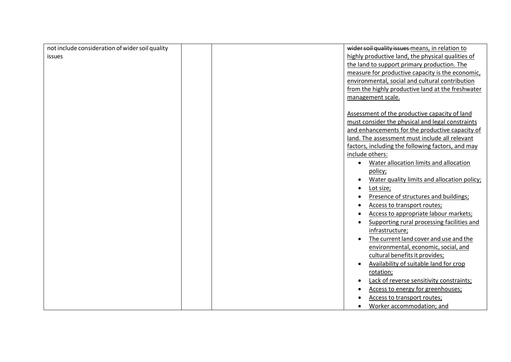| not include consideration of wider soil quality | wider soil quality issues means, in relation to     |
|-------------------------------------------------|-----------------------------------------------------|
| <b>issues</b>                                   | highly productive land, the physical qualities of   |
|                                                 | the land to support primary production. The         |
|                                                 | measure for productive capacity is the economic,    |
|                                                 | environmental, social and cultural contribution     |
|                                                 | from the highly productive land at the freshwater   |
|                                                 | management scale.                                   |
|                                                 |                                                     |
|                                                 | Assessment of the productive capacity of land       |
|                                                 | must consider the physical and legal constraints    |
|                                                 | and enhancements for the productive capacity of     |
|                                                 | land. The assessment must include all relevant      |
|                                                 | factors, including the following factors, and may   |
|                                                 | include others:                                     |
|                                                 | Water allocation limits and allocation<br>$\bullet$ |
|                                                 | policy;                                             |
|                                                 | Water quality limits and allocation policy;         |
|                                                 | Lot size;                                           |
|                                                 | Presence of structures and buildings;               |
|                                                 | Access to transport routes;                         |
|                                                 | Access to appropriate labour markets;               |
|                                                 | Supporting rural processing facilities and          |
|                                                 | infrastructure;                                     |
|                                                 | The current land cover and use and the              |
|                                                 | environmental, economic, social, and                |
|                                                 | cultural benefits it provides;                      |
|                                                 | Availability of suitable land for crop              |
|                                                 | rotation;                                           |
|                                                 | Lack of reverse sensitivity constraints;            |
|                                                 | Access to energy for greenhouses;                   |
|                                                 | Access to transport routes;                         |
|                                                 | Worker accommodation; and                           |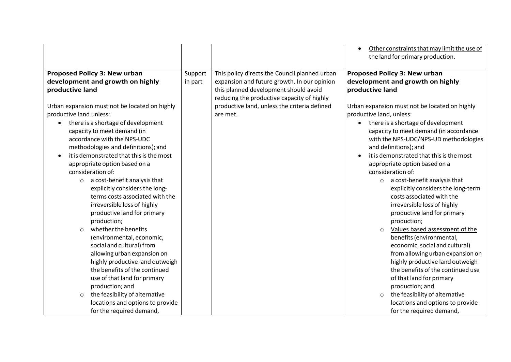|                                                 |         |                                                                                     | Other constraints that may limit the use of   |
|-------------------------------------------------|---------|-------------------------------------------------------------------------------------|-----------------------------------------------|
|                                                 |         |                                                                                     | the land for primary production.              |
| <b>Proposed Policy 3: New urban</b>             | Support | This policy directs the Council planned urban                                       | <b>Proposed Policy 3: New urban</b>           |
| development and growth on highly                | in part | expansion and future growth. In our opinion                                         | development and growth on highly              |
| productive land                                 |         | this planned development should avoid<br>reducing the productive capacity of highly | productive land                               |
| Urban expansion must not be located on highly   |         | productive land, unless the criteria defined                                        | Urban expansion must not be located on highly |
| productive land unless:                         |         | are met.                                                                            | productive land, unless:                      |
| there is a shortage of development<br>$\bullet$ |         |                                                                                     | • there is a shortage of development          |
| capacity to meet demand (in                     |         |                                                                                     | capacity to meet demand (in accordance        |
| accordance with the NPS-UDC                     |         |                                                                                     | with the NPS-UDC/NPS-UD methodologies         |
| methodologies and definitions); and             |         |                                                                                     | and definitions); and                         |
| it is demonstrated that this is the most        |         |                                                                                     | it is demonstrated that this is the most      |
| appropriate option based on a                   |         |                                                                                     | appropriate option based on a                 |
| consideration of:                               |         |                                                                                     | consideration of:                             |
| $\circ$ a cost-benefit analysis that            |         |                                                                                     | a cost-benefit analysis that<br>$\circ$       |
| explicitly considers the long-                  |         |                                                                                     | explicitly considers the long-term            |
| terms costs associated with the                 |         |                                                                                     | costs associated with the                     |
| irreversible loss of highly                     |         |                                                                                     | irreversible loss of highly                   |
| productive land for primary                     |         |                                                                                     | productive land for primary                   |
| production;                                     |         |                                                                                     | production;                                   |
| whether the benefits<br>$\circ$                 |         |                                                                                     | Values based assessment of the<br>$\circ$     |
| (environmental, economic,                       |         |                                                                                     | benefits (environmental,                      |
| social and cultural) from                       |         |                                                                                     | economic, social and cultural)                |
| allowing urban expansion on                     |         |                                                                                     | from allowing urban expansion on              |
| highly productive land outweigh                 |         |                                                                                     | highly productive land outweigh               |
| the benefits of the continued                   |         |                                                                                     | the benefits of the continued use             |
| use of that land for primary                    |         |                                                                                     | of that land for primary                      |
| production; and                                 |         |                                                                                     | production; and                               |
| the feasibility of alternative<br>$\circ$       |         |                                                                                     | the feasibility of alternative<br>$\circ$     |
| locations and options to provide                |         |                                                                                     | locations and options to provide              |
| for the required demand,                        |         |                                                                                     | for the required demand,                      |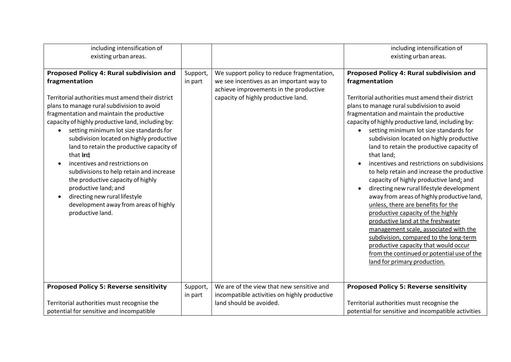| including intensification of                                                                                                                                                                                                                                                                                                                                                                                                                                                                                                                                                                                                                           |                     |                                                                                                                                                                         | including intensification of                                                                                                                                                                                                                                                                                                                                                                                                                                                                                                                                                                                                                                                                                                                                                                                                                                                                                                                                                |
|--------------------------------------------------------------------------------------------------------------------------------------------------------------------------------------------------------------------------------------------------------------------------------------------------------------------------------------------------------------------------------------------------------------------------------------------------------------------------------------------------------------------------------------------------------------------------------------------------------------------------------------------------------|---------------------|-------------------------------------------------------------------------------------------------------------------------------------------------------------------------|-----------------------------------------------------------------------------------------------------------------------------------------------------------------------------------------------------------------------------------------------------------------------------------------------------------------------------------------------------------------------------------------------------------------------------------------------------------------------------------------------------------------------------------------------------------------------------------------------------------------------------------------------------------------------------------------------------------------------------------------------------------------------------------------------------------------------------------------------------------------------------------------------------------------------------------------------------------------------------|
| existing urban areas.                                                                                                                                                                                                                                                                                                                                                                                                                                                                                                                                                                                                                                  |                     |                                                                                                                                                                         | existing urban areas.                                                                                                                                                                                                                                                                                                                                                                                                                                                                                                                                                                                                                                                                                                                                                                                                                                                                                                                                                       |
| Proposed Policy 4: Rural subdivision and<br>fragmentation<br>Territorial authorities must amend their district<br>plans to manage rural subdivision to avoid<br>fragmentation and maintain the productive<br>capacity of highly productive land, including by:<br>setting minimum lot size standards for<br>subdivision located on highly productive<br>land to retain the productive capacity of<br>that and<br>incentives and restrictions on<br>subdivisions to help retain and increase<br>the productive capacity of highly<br>productive land; and<br>directing new rural lifestyle<br>development away from areas of highly<br>productive land. | Support,<br>in part | We support policy to reduce fragmentation,<br>we see incentives as an important way to<br>achieve improvements in the productive<br>capacity of highly productive land. | Proposed Policy 4: Rural subdivision and<br>fragmentation<br>Territorial authorities must amend their district<br>plans to manage rural subdivision to avoid<br>fragmentation and maintain the productive<br>capacity of highly productive land, including by:<br>setting minimum lot size standards for<br>subdivision located on highly productive<br>land to retain the productive capacity of<br>that land;<br>incentives and restrictions on subdivisions<br>to help retain and increase the productive<br>capacity of highly productive land; and<br>directing new rural lifestyle development<br>away from areas of highly productive land,<br>unless, there are benefits for the<br>productive capacity of the highly<br>productive land at the freshwater<br>management scale, associated with the<br>subdivision, compared to the long-term<br>productive capacity that would occur<br>from the continued or potential use of the<br>land for primary production. |
| <b>Proposed Policy 5: Reverse sensitivity</b>                                                                                                                                                                                                                                                                                                                                                                                                                                                                                                                                                                                                          |                     | We are of the view that new sensitive and                                                                                                                               | <b>Proposed Policy 5: Reverse sensitivity</b>                                                                                                                                                                                                                                                                                                                                                                                                                                                                                                                                                                                                                                                                                                                                                                                                                                                                                                                               |
|                                                                                                                                                                                                                                                                                                                                                                                                                                                                                                                                                                                                                                                        | Support,<br>in part | incompatible activities on highly productive                                                                                                                            |                                                                                                                                                                                                                                                                                                                                                                                                                                                                                                                                                                                                                                                                                                                                                                                                                                                                                                                                                                             |
| Territorial authorities must recognise the                                                                                                                                                                                                                                                                                                                                                                                                                                                                                                                                                                                                             |                     | land should be avoided.                                                                                                                                                 | Territorial authorities must recognise the                                                                                                                                                                                                                                                                                                                                                                                                                                                                                                                                                                                                                                                                                                                                                                                                                                                                                                                                  |
| potential for sensitive and incompatible                                                                                                                                                                                                                                                                                                                                                                                                                                                                                                                                                                                                               |                     |                                                                                                                                                                         | potential for sensitive and incompatible activities                                                                                                                                                                                                                                                                                                                                                                                                                                                                                                                                                                                                                                                                                                                                                                                                                                                                                                                         |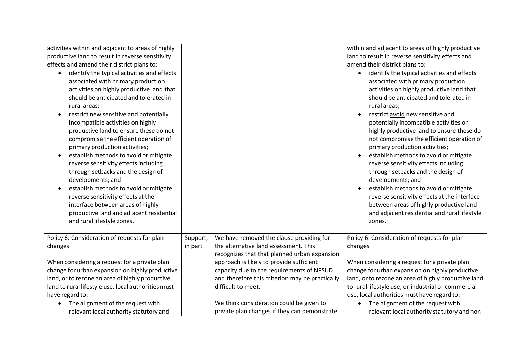| activities within and adjacent to areas of highly   |          |                                                 | within and adjacent to areas of highly productive        |
|-----------------------------------------------------|----------|-------------------------------------------------|----------------------------------------------------------|
| productive land to result in reverse sensitivity    |          |                                                 | land to result in reverse sensitivity effects and        |
| effects and amend their district plans to:          |          |                                                 | amend their district plans to:                           |
| identify the typical activities and effects<br>٠    |          |                                                 | identify the typical activities and effects<br>$\bullet$ |
| associated with primary production                  |          |                                                 | associated with primary production                       |
| activities on highly productive land that           |          |                                                 | activities on highly productive land that                |
| should be anticipated and tolerated in              |          |                                                 | should be anticipated and tolerated in                   |
| rural areas;                                        |          |                                                 | rural areas;                                             |
| restrict new sensitive and potentially<br>$\bullet$ |          |                                                 | restrict-avoid new sensitive and                         |
| incompatible activities on highly                   |          |                                                 | potentially incompatible activities on                   |
| productive land to ensure these do not              |          |                                                 | highly productive land to ensure these do                |
| compromise the efficient operation of               |          |                                                 | not compromise the efficient operation of                |
| primary production activities;                      |          |                                                 | primary production activities;                           |
| establish methods to avoid or mitigate<br>$\bullet$ |          |                                                 | establish methods to avoid or mitigate                   |
| reverse sensitivity effects including               |          |                                                 | reverse sensitivity effects including                    |
| through setbacks and the design of                  |          |                                                 | through setbacks and the design of                       |
| developments; and                                   |          |                                                 | developments; and                                        |
| establish methods to avoid or mitigate              |          |                                                 | establish methods to avoid or mitigate                   |
| reverse sensitivity effects at the                  |          |                                                 | reverse sensitivity effects at the interface             |
| interface between areas of highly                   |          |                                                 | between areas of highly productive land                  |
| productive land and adjacent residential            |          |                                                 | and adjacent residential and rural lifestyle             |
| and rural lifestyle zones.                          |          |                                                 | zones.                                                   |
|                                                     |          |                                                 |                                                          |
| Policy 6: Consideration of requests for plan        | Support, | We have removed the clause providing for        | Policy 6: Consideration of requests for plan             |
| changes                                             | in part  | the alternative land assessment. This           | changes                                                  |
|                                                     |          | recognizes that that planned urban expansion    |                                                          |
| When considering a request for a private plan       |          | approach is likely to provide sufficient        | When considering a request for a private plan            |
| change for urban expansion on highly productive     |          | capacity due to the requirements of NPSUD       | change for urban expansion on highly productive          |
| land, or to rezone an area of highly productive     |          | and therefore this criterion may be practically | land, or to rezone an area of highly productive land     |
| land to rural lifestyle use, local authorities must |          | difficult to meet.                              | to rural lifestyle use, or industrial or commercial      |
| have regard to:                                     |          |                                                 | use, local authorities must have regard to:              |
| The alignment of the request with<br>$\bullet$      |          | We think consideration could be given to        | The alignment of the request with<br>$\bullet$           |
| relevant local authority statutory and              |          | private plan changes if they can demonstrate    | relevant local authority statutory and non-              |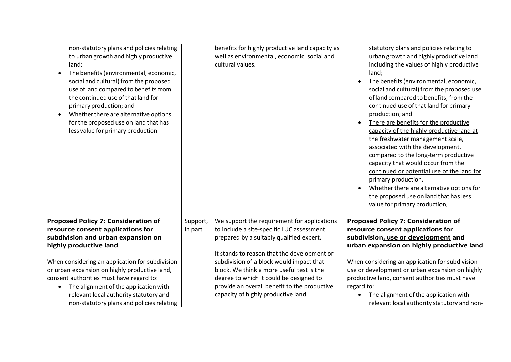| non-statutory plans and policies relating<br>to urban growth and highly productive<br>land;<br>The benefits (environmental, economic,<br>social and cultural) from the proposed<br>use of land compared to benefits from<br>the continued use of that land for<br>primary production; and<br>Whether there are alternative options<br>for the proposed use on land that has<br>less value for primary production. |          | benefits for highly productive land capacity as<br>well as environmental, economic, social and<br>cultural values. | statutory plans and policies relating to<br>urban growth and highly productive land<br>including the values of highly productive<br>land;<br>The benefits (environmental, economic,<br>social and cultural) from the proposed use<br>of land compared to benefits, from the<br>continued use of that land for primary<br>production; and<br>There are benefits for the productive<br>capacity of the highly productive land at<br>the freshwater management scale,<br>associated with the development,<br>compared to the long-term productive<br>capacity that would occur from the<br>continued or potential use of the land for<br>primary production.<br>Whether there are alternative options for<br>the proposed use on land that has less<br>value for primary production, |
|-------------------------------------------------------------------------------------------------------------------------------------------------------------------------------------------------------------------------------------------------------------------------------------------------------------------------------------------------------------------------------------------------------------------|----------|--------------------------------------------------------------------------------------------------------------------|-----------------------------------------------------------------------------------------------------------------------------------------------------------------------------------------------------------------------------------------------------------------------------------------------------------------------------------------------------------------------------------------------------------------------------------------------------------------------------------------------------------------------------------------------------------------------------------------------------------------------------------------------------------------------------------------------------------------------------------------------------------------------------------|
| <b>Proposed Policy 7: Consideration of</b>                                                                                                                                                                                                                                                                                                                                                                        | Support, | We support the requirement for applications                                                                        | <b>Proposed Policy 7: Consideration of</b>                                                                                                                                                                                                                                                                                                                                                                                                                                                                                                                                                                                                                                                                                                                                        |
| resource consent applications for<br>subdivision and urban expansion on                                                                                                                                                                                                                                                                                                                                           | in part  | to include a site-specific LUC assessment<br>prepared by a suitably qualified expert.                              | resource consent applications for<br>subdivision, use or development and                                                                                                                                                                                                                                                                                                                                                                                                                                                                                                                                                                                                                                                                                                          |
| highly productive land                                                                                                                                                                                                                                                                                                                                                                                            |          |                                                                                                                    | urban expansion on highly productive land                                                                                                                                                                                                                                                                                                                                                                                                                                                                                                                                                                                                                                                                                                                                         |
|                                                                                                                                                                                                                                                                                                                                                                                                                   |          | It stands to reason that the development or                                                                        |                                                                                                                                                                                                                                                                                                                                                                                                                                                                                                                                                                                                                                                                                                                                                                                   |
| When considering an application for subdivision                                                                                                                                                                                                                                                                                                                                                                   |          | subdivision of a block would impact that                                                                           | When considering an application for subdivision                                                                                                                                                                                                                                                                                                                                                                                                                                                                                                                                                                                                                                                                                                                                   |
| or urban expansion on highly productive land,                                                                                                                                                                                                                                                                                                                                                                     |          | block. We think a more useful test is the                                                                          | use or development or urban expansion on highly                                                                                                                                                                                                                                                                                                                                                                                                                                                                                                                                                                                                                                                                                                                                   |
| consent authorities must have regard to:                                                                                                                                                                                                                                                                                                                                                                          |          | degree to which it could be designed to                                                                            | productive land, consent authorities must have                                                                                                                                                                                                                                                                                                                                                                                                                                                                                                                                                                                                                                                                                                                                    |
| The alignment of the application with                                                                                                                                                                                                                                                                                                                                                                             |          | provide an overall benefit to the productive                                                                       | regard to:                                                                                                                                                                                                                                                                                                                                                                                                                                                                                                                                                                                                                                                                                                                                                                        |
| relevant local authority statutory and                                                                                                                                                                                                                                                                                                                                                                            |          | capacity of highly productive land.                                                                                | The alignment of the application with                                                                                                                                                                                                                                                                                                                                                                                                                                                                                                                                                                                                                                                                                                                                             |
| non-statutory plans and policies relating                                                                                                                                                                                                                                                                                                                                                                         |          |                                                                                                                    | relevant local authority statutory and non-                                                                                                                                                                                                                                                                                                                                                                                                                                                                                                                                                                                                                                                                                                                                       |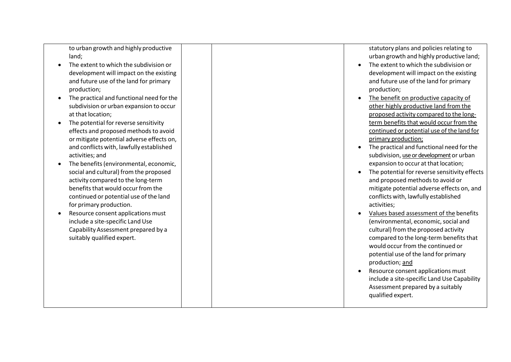to urban growth and highly productive land;

- The extent to which the subdivision or development will impact on the existing and future use ofthe land for primary production;
- The practical and functional need forthe subdivision or urban expansion to occur at that location;
- $\bullet$  The potential for reverse sensitivity effects and proposed methods to avoid or mitigate potential adverse effects on, and conflicts with, lawfully established activities; and
- The benefits (environmental, economic, social and cultural) from the proposed activity compared to the long -term benefits that would occur from the continued or potential use of the land for primary production.
- Resource consent applications must include a site -specific Land Use Capability Assessment prepared by a suitably qualified expert.

statutory plans and policies relating to urban growth and highly productive land;

- The extent to which the subdivision or development will impact on the existing and future use of the land for primary production;
- The benefit on productive capacity of other highly productive land from the proposed activity compared to the long term benefits that would occur from the continued or potential use of the land for primary production ;
- The practical and functional need forthe subdivision, <u>use or development</u> or urban expansion to occur at that location;
- The potential for reverse sensitivity effects and proposed methods to avoid or mitigate potential adverse effects on, and conflicts with, lawfully established activities;
- Values based assessment of the benefits (environmental, economic, social and cultural) from the proposed activity compared to the long-term benefits that would occur from the continued or potential use of the land for primary production; and
- Resource consent applications must include a site -specific Land Use Capability Assessment prepared by a suitably qualified expert.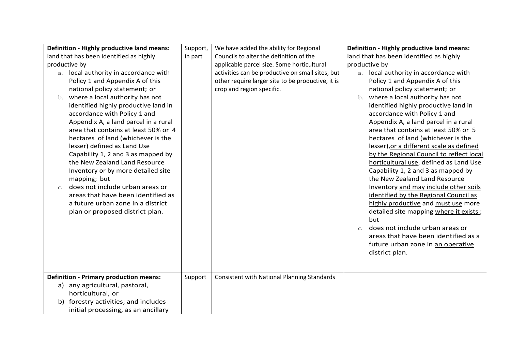| Definition - Highly productive land means:                                                                                                                                                                                                                                                                                                                                                                                                                                                                                                                                                                                                                                   | Support, | We have added the ability for Regional                                                                                             | Definition - Highly productive land means:                                                                                                                                                                                                                                                                                                                                                                                                                                                                                                                                                                                                                                                                                                                                                                                     |
|------------------------------------------------------------------------------------------------------------------------------------------------------------------------------------------------------------------------------------------------------------------------------------------------------------------------------------------------------------------------------------------------------------------------------------------------------------------------------------------------------------------------------------------------------------------------------------------------------------------------------------------------------------------------------|----------|------------------------------------------------------------------------------------------------------------------------------------|--------------------------------------------------------------------------------------------------------------------------------------------------------------------------------------------------------------------------------------------------------------------------------------------------------------------------------------------------------------------------------------------------------------------------------------------------------------------------------------------------------------------------------------------------------------------------------------------------------------------------------------------------------------------------------------------------------------------------------------------------------------------------------------------------------------------------------|
| land that has been identified as highly                                                                                                                                                                                                                                                                                                                                                                                                                                                                                                                                                                                                                                      | in part  | Councils to alter the definition of the                                                                                            | land that has been identified as highly                                                                                                                                                                                                                                                                                                                                                                                                                                                                                                                                                                                                                                                                                                                                                                                        |
| productive by                                                                                                                                                                                                                                                                                                                                                                                                                                                                                                                                                                                                                                                                |          | applicable parcel size. Some horticultural                                                                                         | productive by                                                                                                                                                                                                                                                                                                                                                                                                                                                                                                                                                                                                                                                                                                                                                                                                                  |
| a. local authority in accordance with<br>Policy 1 and Appendix A of this<br>national policy statement; or<br>b. where a local authority has not<br>identified highly productive land in<br>accordance with Policy 1 and<br>Appendix A, a land parcel in a rural<br>area that contains at least 50% or 4<br>hectares of land (whichever is the<br>lesser) defined as Land Use<br>Capability 1, 2 and 3 as mapped by<br>the New Zealand Land Resource<br>Inventory or by more detailed site<br>mapping; but<br>does not include urban areas or<br>C <sub>1</sub><br>areas that have been identified as<br>a future urban zone in a district<br>plan or proposed district plan. |          | activities can be productive on small sites, but<br>other require larger site to be productive, it is<br>crop and region specific. | a. local authority in accordance with<br>Policy 1 and Appendix A of this<br>national policy statement; or<br>b. where a local authority has not<br>identified highly productive land in<br>accordance with Policy 1 and<br>Appendix A, a land parcel in a rural<br>area that contains at least 50% or 5<br>hectares of land (whichever is the<br>lesser), or a different scale as defined<br>by the Regional Council to reflect local<br>horticultural use, defined as Land Use<br>Capability 1, 2 and 3 as mapped by<br>the New Zealand Land Resource<br>Inventory and may include other soils<br>identified by the Regional Council as<br>highly productive and must use more<br>detailed site mapping where it exists;<br>but<br>does not include urban areas or<br>$\mathcal{C}$ .<br>areas that have been identified as a |
|                                                                                                                                                                                                                                                                                                                                                                                                                                                                                                                                                                                                                                                                              |          |                                                                                                                                    | future urban zone in an operative<br>district plan.                                                                                                                                                                                                                                                                                                                                                                                                                                                                                                                                                                                                                                                                                                                                                                            |
| <b>Definition - Primary production means:</b>                                                                                                                                                                                                                                                                                                                                                                                                                                                                                                                                                                                                                                | Support  | <b>Consistent with National Planning Standards</b>                                                                                 |                                                                                                                                                                                                                                                                                                                                                                                                                                                                                                                                                                                                                                                                                                                                                                                                                                |
| a) any agricultural, pastoral,                                                                                                                                                                                                                                                                                                                                                                                                                                                                                                                                                                                                                                               |          |                                                                                                                                    |                                                                                                                                                                                                                                                                                                                                                                                                                                                                                                                                                                                                                                                                                                                                                                                                                                |
| horticultural, or                                                                                                                                                                                                                                                                                                                                                                                                                                                                                                                                                                                                                                                            |          |                                                                                                                                    |                                                                                                                                                                                                                                                                                                                                                                                                                                                                                                                                                                                                                                                                                                                                                                                                                                |
| b) forestry activities; and includes                                                                                                                                                                                                                                                                                                                                                                                                                                                                                                                                                                                                                                         |          |                                                                                                                                    |                                                                                                                                                                                                                                                                                                                                                                                                                                                                                                                                                                                                                                                                                                                                                                                                                                |
| initial processing, as an ancillary                                                                                                                                                                                                                                                                                                                                                                                                                                                                                                                                                                                                                                          |          |                                                                                                                                    |                                                                                                                                                                                                                                                                                                                                                                                                                                                                                                                                                                                                                                                                                                                                                                                                                                |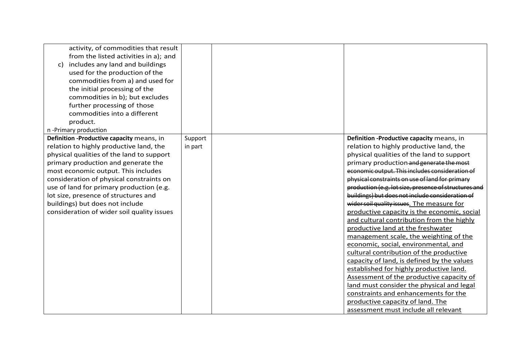| activity, of commodities that result<br>from the listed activities in a); and<br>c) includes any land and buildings<br>used for the production of the<br>commodities from a) and used for<br>the initial processing of the<br>commodities in b); but excludes |         |                                                       |
|---------------------------------------------------------------------------------------------------------------------------------------------------------------------------------------------------------------------------------------------------------------|---------|-------------------------------------------------------|
| further processing of those<br>commodities into a different                                                                                                                                                                                                   |         |                                                       |
| product.                                                                                                                                                                                                                                                      |         |                                                       |
| n -Primary production                                                                                                                                                                                                                                         |         |                                                       |
| Definition -Productive capacity means, in                                                                                                                                                                                                                     | Support | Definition -Productive capacity means, in             |
| relation to highly productive land, the                                                                                                                                                                                                                       | in part | relation to highly productive land, the               |
| physical qualities of the land to support                                                                                                                                                                                                                     |         | physical qualities of the land to support             |
| primary production and generate the                                                                                                                                                                                                                           |         | primary production and generate the most              |
| most economic output. This includes                                                                                                                                                                                                                           |         | economic output. This includes consideration of       |
| consideration of physical constraints on                                                                                                                                                                                                                      |         | physical constraints on use of land for primary       |
| use of land for primary production (e.g.                                                                                                                                                                                                                      |         | production (e.g. lot size, presence of structures and |
| lot size, presence of structures and                                                                                                                                                                                                                          |         | buildings) but does not include consideration of      |
| buildings) but does not include                                                                                                                                                                                                                               |         | wider soil quality issues. The measure for            |
| consideration of wider soil quality issues                                                                                                                                                                                                                    |         | productive capacity is the economic, social           |
|                                                                                                                                                                                                                                                               |         | and cultural contribution from the highly             |
|                                                                                                                                                                                                                                                               |         | productive land at the freshwater                     |
|                                                                                                                                                                                                                                                               |         | management scale, the weighting of the                |
|                                                                                                                                                                                                                                                               |         | economic, social, environmental, and                  |
|                                                                                                                                                                                                                                                               |         | cultural contribution of the productive               |
|                                                                                                                                                                                                                                                               |         | capacity of land, is defined by the values            |
|                                                                                                                                                                                                                                                               |         | established for highly productive land.               |
|                                                                                                                                                                                                                                                               |         | Assessment of the productive capacity of              |
|                                                                                                                                                                                                                                                               |         | land must consider the physical and legal             |
|                                                                                                                                                                                                                                                               |         | constraints and enhancements for the                  |
|                                                                                                                                                                                                                                                               |         | productive capacity of land. The                      |
|                                                                                                                                                                                                                                                               |         | assessment must include all relevant                  |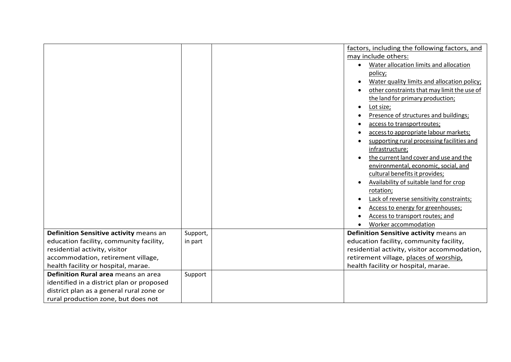|                                           |          | factors, including the following factors, and |
|-------------------------------------------|----------|-----------------------------------------------|
|                                           |          | may include others:                           |
|                                           |          | Water allocation limits and allocation        |
|                                           |          | policy;                                       |
|                                           |          | Water quality limits and allocation policy;   |
|                                           |          | other constraints that may limit the use of   |
|                                           |          | the land for primary production;              |
|                                           |          | Lot size;<br>$\bullet$                        |
|                                           |          | Presence of structures and buildings;         |
|                                           |          | access to transport routes;                   |
|                                           |          | access to appropriate labour markets;         |
|                                           |          | supporting rural processing facilities and    |
|                                           |          | infrastructure;                               |
|                                           |          | the current land cover and use and the        |
|                                           |          | environmental, economic, social, and          |
|                                           |          | cultural benefits it provides;                |
|                                           |          | Availability of suitable land for crop        |
|                                           |          | rotation;                                     |
|                                           |          | Lack of reverse sensitivity constraints;      |
|                                           |          | Access to energy for greenhouses;             |
|                                           |          | Access to transport routes; and               |
|                                           |          | Worker accommodation                          |
| Definition Sensitive activity means an    | Support, | Definition Sensitive activity means an        |
| education facility, community facility,   | in part  | education facility, community facility,       |
| residential activity, visitor             |          | residential activity, visitor accommodation,  |
| accommodation, retirement village,        |          | retirement village, places of worship,        |
| health facility or hospital, marae.       |          | health facility or hospital, marae.           |
| Definition Rural area means an area       | Support  |                                               |
| identified in a district plan or proposed |          |                                               |
| district plan as a general rural zone or  |          |                                               |
| rural production zone, but does not       |          |                                               |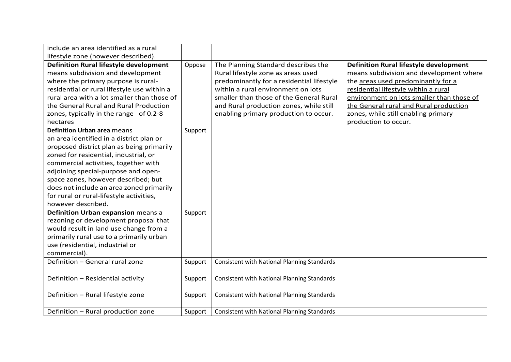| include an area identified as a rural         |         |                                                    |                                               |
|-----------------------------------------------|---------|----------------------------------------------------|-----------------------------------------------|
| lifestyle zone (however described).           |         |                                                    |                                               |
| <b>Definition Rural lifestyle development</b> | Oppose  | The Planning Standard describes the                | <b>Definition Rural lifestyle development</b> |
| means subdivision and development             |         | Rural lifestyle zone as areas used                 | means subdivision and development where       |
| where the primary purpose is rural-           |         | predominantly for a residential lifestyle          | the areas used predominantly for a            |
| residential or rural lifestyle use within a   |         | within a rural environment on lots                 | residential lifestyle within a rural          |
| rural area with a lot smaller than those of   |         | smaller than those of the General Rural            | environment on lots smaller than those of     |
| the General Rural and Rural Production        |         | and Rural production zones, while still            | the General rural and Rural production        |
| zones, typically in the range of 0.2-8        |         | enabling primary production to occur.              | zones, while still enabling primary           |
| hectares                                      |         |                                                    | production to occur.                          |
| <b>Definition Urban area means</b>            | Support |                                                    |                                               |
| an area identified in a district plan or      |         |                                                    |                                               |
| proposed district plan as being primarily     |         |                                                    |                                               |
| zoned for residential, industrial, or         |         |                                                    |                                               |
| commercial activities, together with          |         |                                                    |                                               |
| adjoining special-purpose and open-           |         |                                                    |                                               |
| space zones, however described; but           |         |                                                    |                                               |
| does not include an area zoned primarily      |         |                                                    |                                               |
| for rural or rural-lifestyle activities,      |         |                                                    |                                               |
| however described.                            |         |                                                    |                                               |
| Definition Urban expansion means a            | Support |                                                    |                                               |
| rezoning or development proposal that         |         |                                                    |                                               |
| would result in land use change from a        |         |                                                    |                                               |
| primarily rural use to a primarily urban      |         |                                                    |                                               |
| use (residential, industrial or               |         |                                                    |                                               |
| commercial).                                  |         |                                                    |                                               |
| Definition - General rural zone               | Support | <b>Consistent with National Planning Standards</b> |                                               |
|                                               |         |                                                    |                                               |
| Definition - Residential activity             | Support | <b>Consistent with National Planning Standards</b> |                                               |
|                                               |         |                                                    |                                               |
| Definition - Rural lifestyle zone             | Support | <b>Consistent with National Planning Standards</b> |                                               |
|                                               |         |                                                    |                                               |
| Definition - Rural production zone            | Support | <b>Consistent with National Planning Standards</b> |                                               |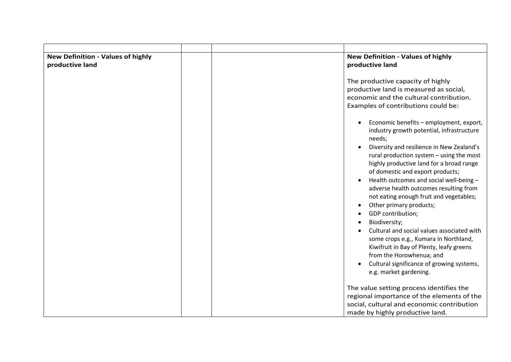| <b>New Definition - Values of highly</b> | <b>New Definition - Values of highly</b>                                                                                                                                                                                                                                                                                                                                                                                                                                                                                                                                                                                                                                                                                                                                                                                                                                                           |  |
|------------------------------------------|----------------------------------------------------------------------------------------------------------------------------------------------------------------------------------------------------------------------------------------------------------------------------------------------------------------------------------------------------------------------------------------------------------------------------------------------------------------------------------------------------------------------------------------------------------------------------------------------------------------------------------------------------------------------------------------------------------------------------------------------------------------------------------------------------------------------------------------------------------------------------------------------------|--|
| productive land                          | productive land<br>The productive capacity of highly<br>productive land is measured as social,<br>economic and the cultural contribution.<br>Examples of contributions could be:<br>Economic benefits - employment, export,<br>industry growth potential, infrastructure<br>needs;<br>Diversity and resilience in New Zealand's<br>rural production system - using the most<br>highly productive land for a broad range<br>of domestic and export products;<br>Health outcomes and social well-being -<br>adverse health outcomes resulting from<br>not eating enough fruit and vegetables;<br>Other primary products;<br>GDP contribution;<br>Biodiversity;<br>Cultural and social values associated with<br>some crops e.g., Kumara in Northland,<br>Kiwifruit in Bay of Plenty, leafy greens<br>from the Horowhenua; and<br>Cultural significance of growing systems,<br>e.g. market gardening. |  |
|                                          | The value setting process identifies the<br>regional importance of the elements of the<br>social, cultural and economic contribution<br>made by highly productive land.                                                                                                                                                                                                                                                                                                                                                                                                                                                                                                                                                                                                                                                                                                                            |  |